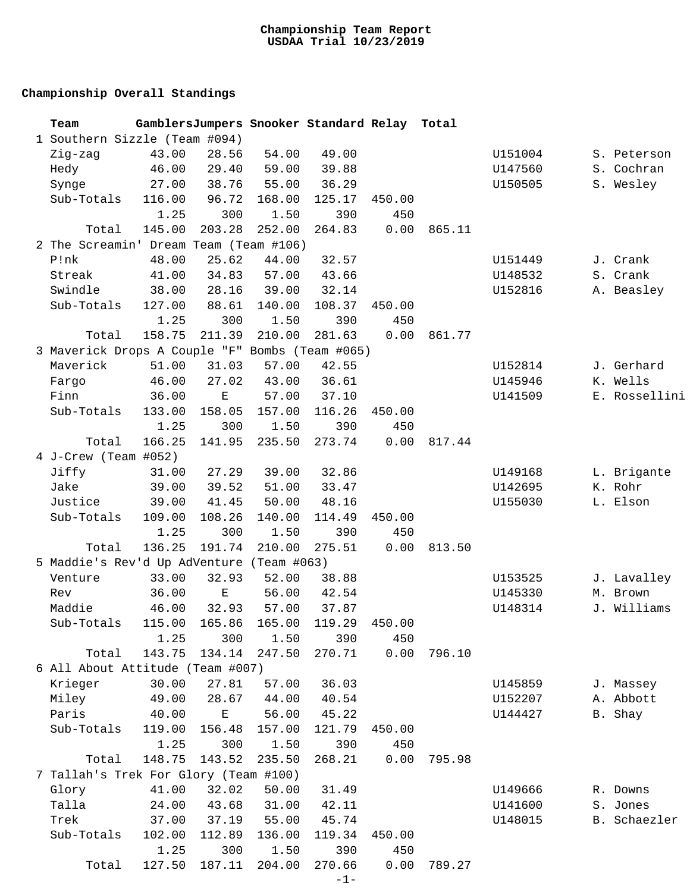## **Championship Overall Standings**

| Team                                            |        |             |        | GamblersJumpers Snooker Standard Relay Total |        |        |         |               |
|-------------------------------------------------|--------|-------------|--------|----------------------------------------------|--------|--------|---------|---------------|
| 1 Southern Sizzle (Team #094)                   |        |             |        |                                              |        |        |         |               |
| Zig-zag                                         | 43.00  | 28.56       | 54.00  | 49.00                                        |        |        | U151004 | S. Peterson   |
| Hedy                                            | 46.00  | 29.40       | 59.00  | 39.88                                        |        |        | U147560 | S. Cochran    |
| Synge                                           | 27.00  | 38.76       | 55.00  | 36.29                                        |        |        | U150505 | S. Wesley     |
| Sub-Totals                                      | 116.00 | 96.72       | 168.00 | 125.17                                       | 450.00 |        |         |               |
|                                                 | 1.25   | 300         | 1.50   | 390                                          | 450    |        |         |               |
| Total                                           | 145.00 | 203.28      | 252.00 | 264.83                                       | 0.00   | 865.11 |         |               |
| 2 The Screamin' Dream Team (Team #106)          |        |             |        |                                              |        |        |         |               |
| P!nk                                            | 48.00  | 25.62       | 44.00  | 32.57                                        |        |        | U151449 | J. Crank      |
| Streak                                          | 41.00  | 34.83       | 57.00  | 43.66                                        |        |        | U148532 | S. Crank      |
| Swindle                                         | 38.00  | 28.16       | 39.00  | 32.14                                        |        |        | U152816 | A. Beasley    |
| Sub-Totals                                      | 127.00 | 88.61       | 140.00 | 108.37                                       | 450.00 |        |         |               |
|                                                 | 1.25   | 300         | 1.50   | 390                                          | 450    |        |         |               |
| Total                                           | 158.75 | 211.39      | 210.00 | 281.63                                       | 0.00   | 861.77 |         |               |
| 3 Maverick Drops A Couple "F" Bombs (Team #065) |        |             |        |                                              |        |        |         |               |
| Maverick                                        | 51.00  | 31.03       | 57.00  | 42.55                                        |        |        | U152814 | J. Gerhard    |
| Fargo                                           | 46.00  | 27.02       | 43.00  | 36.61                                        |        |        | U145946 | K. Wells      |
| Finn                                            | 36.00  | $\mathbf E$ | 57.00  | 37.10                                        |        |        | U141509 | E. Rossellini |
| Sub-Totals                                      | 133.00 | 158.05      | 157.00 | 116.26                                       | 450.00 |        |         |               |
|                                                 | 1.25   | 300         | 1.50   | 390                                          | 450    |        |         |               |
|                                                 |        |             |        |                                              |        |        |         |               |
| Total                                           | 166.25 | 141.95      | 235.50 | 273.74                                       | 0.00   | 817.44 |         |               |
| 4 J-Crew (Team #052)                            |        |             |        |                                              |        |        |         |               |
| Jiffy                                           | 31.00  | 27.29       | 39.00  | 32.86                                        |        |        | U149168 | L. Brigante   |
| Jake                                            | 39.00  | 39.52       | 51.00  | 33.47                                        |        |        | U142695 | K. Rohr       |
| Justice                                         | 39.00  | 41.45       | 50.00  | 48.16                                        |        |        | U155030 | L. Elson      |
| Sub-Totals                                      | 109.00 | 108.26      | 140.00 | 114.49                                       | 450.00 |        |         |               |
|                                                 | 1.25   | 300         | 1.50   | 390                                          | 450    |        |         |               |
| Total                                           | 136.25 | 191.74      | 210.00 | 275.51                                       | 0.00   | 813.50 |         |               |
| 5 Maddie's Rev'd Up AdVenture (Team #063)       |        |             |        |                                              |        |        |         |               |
| Venture                                         | 33.00  | 32.93       | 52.00  | 38.88                                        |        |        | U153525 | J. Lavalley   |
| Rev                                             | 36.00  | $\mathbf E$ | 56.00  | 42.54                                        |        |        | U145330 | M. Brown      |
| Maddie                                          | 46.00  | 32.93       | 57.00  | 37.87                                        |        |        | U148314 | J. Williams   |
| Sub-Totals 115.00 165.86 165.00 119.29          |        |             |        |                                              | 450.00 |        |         |               |
|                                                 | 1.25   | 300         | 1.50   | 390                                          | 450    |        |         |               |
| Total                                           | 143.75 | 134.14      | 247.50 | 270.71                                       | 0.00   | 796.10 |         |               |
| 6 All About Attitude (Team #007)                |        |             |        |                                              |        |        |         |               |
| Krieger                                         | 30.00  | 27.81       | 57.00  | 36.03                                        |        |        | U145859 | J. Massey     |
| Miley                                           | 49.00  | 28.67       | 44.00  | 40.54                                        |        |        | U152207 | A. Abbott     |
| Paris                                           | 40.00  | $\mathbf E$ | 56.00  | 45.22                                        |        |        | U144427 | B. Shay       |
| Sub-Totals                                      | 119.00 | 156.48      | 157.00 | 121.79                                       | 450.00 |        |         |               |
|                                                 | 1.25   | 300         | 1.50   | 390                                          | 450    |        |         |               |
| Total                                           | 148.75 | 143.52      | 235.50 | 268.21                                       | 0.00   | 795.98 |         |               |
| 7 Tallah's Trek For Glory (Team #100)           |        |             |        |                                              |        |        |         |               |
| Glory                                           | 41.00  | 32.02       | 50.00  | 31.49                                        |        |        | U149666 | R. Downs      |
| Talla                                           | 24.00  | 43.68       | 31.00  | 42.11                                        |        |        | U141600 | S. Jones      |
| Trek                                            | 37.00  | 37.19       | 55.00  | 45.74                                        |        |        | U148015 | B. Schaezler  |
| Sub-Totals                                      | 102.00 | 112.89      | 136.00 | 119.34                                       | 450.00 |        |         |               |
|                                                 | 1.25   | 300         | 1.50   | 390                                          | 450    |        |         |               |
| Total                                           | 127.50 | 187.11      | 204.00 | 270.66                                       | 0.00   | 789.27 |         |               |
|                                                 |        |             |        | $-1-$                                        |        |        |         |               |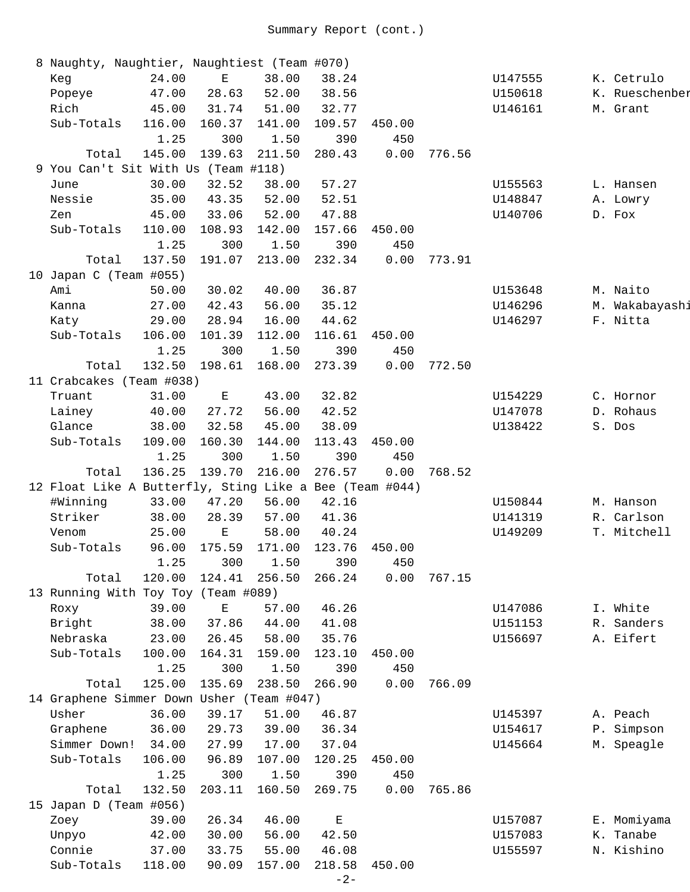| 8 Naughty, Naughtier, Naughtiest (Team #070)            |        |             |        |             |        |        |         |                |
|---------------------------------------------------------|--------|-------------|--------|-------------|--------|--------|---------|----------------|
| Keg                                                     | 24.00  | $\mathbf E$ | 38.00  | 38.24       |        |        | U147555 | K. Cetrulo     |
| Popeye                                                  | 47.00  | 28.63       | 52.00  | 38.56       |        |        | U150618 | K. Rueschenber |
| Rich                                                    | 45.00  | 31.74       | 51.00  | 32.77       |        |        | U146161 | M. Grant       |
| Sub-Totals                                              | 116.00 | 160.37      | 141.00 | 109.57      | 450.00 |        |         |                |
|                                                         | 1.25   | 300         | 1.50   | 390         | 450    |        |         |                |
| Total                                                   | 145.00 | 139.63      | 211.50 | 280.43      | 0.00   | 776.56 |         |                |
| 9 You Can't Sit With Us (Team #118)                     |        |             |        |             |        |        |         |                |
| June                                                    | 30.00  | 32.52       | 38.00  | 57.27       |        |        | U155563 | L. Hansen      |
| Nessie                                                  | 35.00  | 43.35       | 52.00  | 52.51       |        |        | U148847 | A. Lowry       |
| Zen                                                     | 45.00  | 33.06       | 52.00  | 47.88       |        |        | U140706 | D. Fox         |
| Sub-Totals                                              | 110.00 | 108.93      | 142.00 | 157.66      | 450.00 |        |         |                |
|                                                         | 1.25   | 300         | 1.50   | 390         | 450    |        |         |                |
| Total                                                   | 137.50 | 191.07      | 213.00 | 232.34      | 0.00   | 773.91 |         |                |
| 10 Japan C (Team #055)                                  |        |             |        |             |        |        |         |                |
| Ami                                                     | 50.00  | 30.02       | 40.00  | 36.87       |        |        | U153648 | M. Naito       |
| Kanna                                                   | 27.00  | 42.43       | 56.00  | 35.12       |        |        | U146296 | M. Wakabayashi |
| Katy                                                    | 29.00  | 28.94       | 16.00  | 44.62       |        |        | U146297 | F. Nitta       |
| Sub-Totals                                              | 106.00 | 101.39      | 112.00 | 116.61      | 450.00 |        |         |                |
|                                                         | 1.25   | 300         | 1.50   | 390         | 450    |        |         |                |
| Total                                                   | 132.50 | 198.61      | 168.00 | 273.39      | 0.00   | 772.50 |         |                |
| 11 Crabcakes (Team #038)                                |        |             |        |             |        |        |         |                |
| Truant                                                  | 31.00  | $\mathbf E$ | 43.00  | 32.82       |        |        | U154229 | C. Hornor      |
| Lainey                                                  | 40.00  | 27.72       | 56.00  | 42.52       |        |        | U147078 | D. Rohaus      |
| Glance                                                  | 38.00  | 32.58       | 45.00  | 38.09       |        |        | U138422 | S. Dos         |
| Sub-Totals                                              | 109.00 | 160.30      | 144.00 | 113.43      | 450.00 |        |         |                |
|                                                         | 1.25   | 300         | 1.50   | 390         | 450    |        |         |                |
| Total                                                   | 136.25 | 139.70      | 216.00 | 276.57      | 0.00   | 768.52 |         |                |
| 12 Float Like A Butterfly, Sting Like a Bee (Team #044) |        |             |        |             |        |        |         |                |
| #Winning                                                | 33.00  | 47.20       | 56.00  | 42.16       |        |        | U150844 | M. Hanson      |
| Striker                                                 | 38.00  | 28.39       | 57.00  | 41.36       |        |        | U141319 | R. Carlson     |
| Venom                                                   | 25.00  | $\mathbf E$ | 58.00  | 40.24       |        |        | U149209 | T. Mitchell    |
| Sub-Totals                                              | 96.00  | 175.59      | 171.00 | 123.76      | 450.00 |        |         |                |
|                                                         | 1.25   | 300         | 1.50   | 390         | 450    |        |         |                |
| Total                                                   | 120.00 | 124.41      | 256.50 | 266.24      | 0.00   | 767.15 |         |                |
| 13 Running With Toy Toy (Team #089)                     |        |             |        |             |        |        |         |                |
| Roxy                                                    | 39.00  | $\mathbf E$ | 57.00  | 46.26       |        |        | U147086 | I. White       |
| Bright                                                  | 38.00  | 37.86       | 44.00  | 41.08       |        |        | U151153 | R. Sanders     |
| Nebraska                                                | 23.00  | 26.45       | 58.00  | 35.76       |        |        | U156697 | A. Eifert      |
| Sub-Totals                                              | 100.00 | 164.31      | 159.00 | 123.10      | 450.00 |        |         |                |
|                                                         | 1.25   | 300         | 1.50   | 390         | 450    |        |         |                |
| Total                                                   | 125.00 | 135.69      | 238.50 | 266.90      | 0.00   | 766.09 |         |                |
| 14 Graphene Simmer Down Usher (Team #047)               |        |             |        |             |        |        |         |                |
| Usher                                                   | 36.00  | 39.17       | 51.00  | 46.87       |        |        | U145397 | A. Peach       |
| Graphene                                                | 36.00  | 29.73       | 39.00  | 36.34       |        |        | U154617 | P. Simpson     |
| Simmer Down!                                            | 34.00  | 27.99       | 17.00  | 37.04       |        |        | U145664 | M. Speagle     |
| Sub-Totals                                              | 106.00 | 96.89       | 107.00 | 120.25      | 450.00 |        |         |                |
|                                                         | 1.25   | 300         | 1.50   | 390         | 450    |        |         |                |
| Total                                                   | 132.50 | 203.11      | 160.50 | 269.75      | 0.00   | 765.86 |         |                |
| 15 Japan D (Team #056)                                  |        |             |        |             |        |        |         |                |
| Zoey                                                    | 39.00  | 26.34       | 46.00  | $\mathbf E$ |        |        | U157087 | E. Momiyama    |
|                                                         | 42.00  | 30.00       | 56.00  | 42.50       |        |        |         | K. Tanabe      |
| Unpyo<br>Connie                                         | 37.00  | 33.75       | 55.00  | 46.08       |        |        | U157083 | N. Kishino     |
|                                                         |        |             |        |             |        |        | U155597 |                |
| Sub-Totals                                              | 118.00 | 90.09       | 157.00 | 218.58      | 450.00 |        |         |                |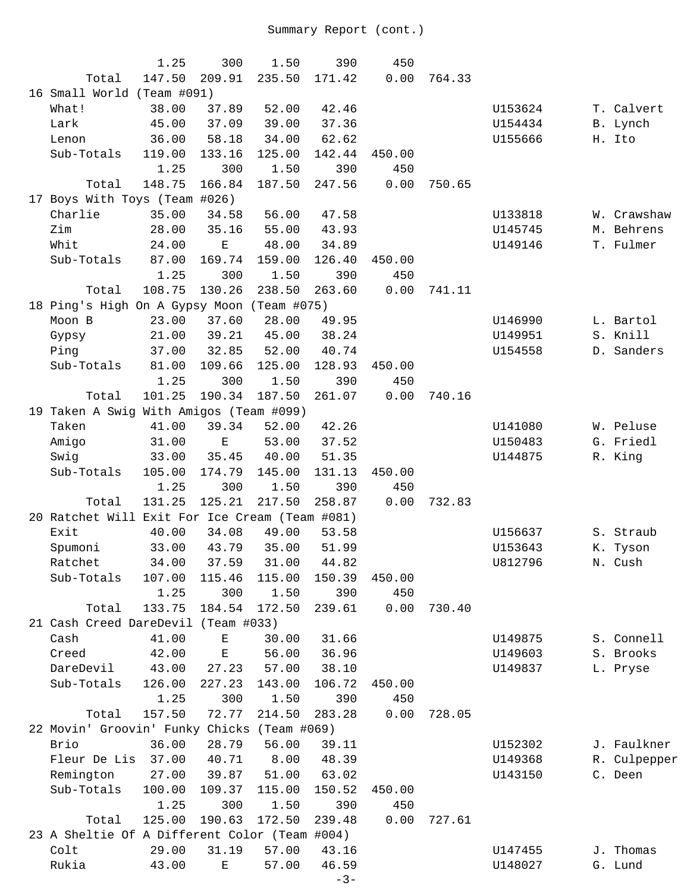|                                                | 1.25   | 300         | 1.50        | 390         | 450    |        |         |              |
|------------------------------------------------|--------|-------------|-------------|-------------|--------|--------|---------|--------------|
| Total                                          | 147.50 | 209.91      | 235.50      | 171.42      | 0.00   | 764.33 |         |              |
| 16 Small World (Team #091)                     |        |             |             |             |        |        |         |              |
| What!                                          | 38.00  | 37.89       | 52.00       | 42.46       |        |        | U153624 | T. Calvert   |
| Lark                                           | 45.00  | 37.09       | 39.00       | 37.36       |        |        | U154434 | B. Lynch     |
| Lenon                                          | 36.00  | 58.18       | 34.00       | 62.62       |        |        | U155666 | H. Ito       |
| Sub-Totals                                     | 119.00 | 133.16      | 125.00      | 142.44      | 450.00 |        |         |              |
|                                                | 1.25   | 300         | 1.50        | 390         | 450    |        |         |              |
| Total                                          | 148.75 | 166.84      | 187.50      | 247.56      | 0.00   | 750.65 |         |              |
| 17 Boys With Toys (Team #026)                  |        |             |             |             |        |        |         |              |
| Charlie                                        | 35.00  | 34.58       | 56.00       | 47.58       |        |        | U133818 | W. Crawshaw  |
| Zim                                            | 28.00  | 35.16       | 55.00       | 43.93       |        |        | U145745 | M. Behrens   |
| Whit                                           | 24.00  | $\mathbf E$ | 48.00       | 34.89       |        |        | U149146 | T. Fulmer    |
| Sub-Totals                                     | 87.00  | 169.74      | 159.00      | 126.40      | 450.00 |        |         |              |
|                                                | 1.25   | 300         | 1.50        | 390         | 450    |        |         |              |
| Total                                          | 108.75 | 130.26      | 238.50      | 263.60      | 0.00   | 741.11 |         |              |
| 18 Ping's High On A Gypsy Moon (Team #075)     |        |             |             |             |        |        |         |              |
| Moon B                                         | 23.00  | 37.60       | 28.00       | 49.95       |        |        | U146990 | L. Bartol    |
| Gypsy                                          | 21.00  | 39.21       | 45.00       | 38.24       |        |        | U149951 | S. Knill     |
| Ping                                           | 37.00  | 32.85       | 52.00       | 40.74       |        |        | U154558 | D. Sanders   |
| Sub-Totals                                     | 81.00  | 109.66      | 125.00      | 128.93      | 450.00 |        |         |              |
|                                                | 1.25   | 300         | 1.50        | 390         | 450    |        |         |              |
| Total                                          | 101.25 | 190.34      | 187.50      | 261.07      | 0.00   | 740.16 |         |              |
| 19 Taken A Swig With Amigos (Team #099)        |        |             |             |             |        |        |         |              |
| Taken                                          | 41.00  | 39.34       | 52.00       | 42.26       |        |        | U141080 | W. Peluse    |
| Amigo                                          | 31.00  | $\mathbf E$ | 53.00       | 37.52       |        |        | U150483 | G. Friedl    |
| Swig                                           | 33.00  | 35.45       | 40.00       | 51.35       |        |        | U144875 | R. King      |
| Sub-Totals                                     | 105.00 | 174.79      | 145.00      | 131.13      | 450.00 |        |         |              |
|                                                | 1.25   | 300         | 1.50        | 390         | 450    |        |         |              |
| Total                                          | 131.25 | 125.21      | 217.50      | 258.87      | 0.00   | 732.83 |         |              |
| 20 Ratchet Will Exit For Ice Cream (Team #081) |        |             |             |             |        |        |         |              |
| Exit                                           | 40.00  | 34.08       | 49.00       | 53.58       |        |        | U156637 | S. Straub    |
| Spumoni                                        | 33.00  | 43.79       | 35.00       | 51.99       |        |        | U153643 | K. Tyson     |
| Ratchet                                        |        | 34.00 37.59 |             | 31.00 44.82 |        |        | U812796 | N. Cush      |
| Sub-Totals                                     | 107.00 | 115.46      | 115.00      | 150.39      | 450.00 |        |         |              |
|                                                | 1.25   | 300         | 1.50        | 390         | 450    |        |         |              |
| Total                                          | 133.75 | 184.54      | 172.50      | 239.61      | 0.00   | 730.40 |         |              |
| 21 Cash Creed DareDevil (Team #033)            |        |             |             |             |        |        |         |              |
| Cash                                           | 41.00  | Е           | 30.00       | 31.66       |        |        | U149875 | S. Connell   |
| Creed                                          | 42.00  | $\mathbf E$ | 56.00       | 36.96       |        |        | U149603 | S. Brooks    |
| DareDevil                                      | 43.00  | 27.23       | 57.00       | 38.10       |        |        | U149837 | L. Pryse     |
| Sub-Totals                                     | 126.00 | 227.23      | 143.00      | 106.72      | 450.00 |        |         |              |
|                                                | 1.25   | 300         | 1.50        | 390         | 450    |        |         |              |
| Total                                          | 157.50 | 72.77       | 214.50      | 283.28      | 0.00   | 728.05 |         |              |
| 22 Movin' Groovin' Funky Chicks                |        |             | (Team #069) |             |        |        |         |              |
| Brio                                           | 36.00  | 28.79       | 56.00       | 39.11       |        |        | U152302 | J. Faulkner  |
| Fleur De Lis                                   | 37.00  | 40.71       | 8.00        | 48.39       |        |        | U149368 | R. Culpepper |
| Remington                                      | 27.00  | 39.87       | 51.00       | 63.02       |        |        | U143150 | C. Deen      |
| Sub-Totals                                     | 100.00 | 109.37      | 115.00      | 150.52      | 450.00 |        |         |              |
|                                                | 1.25   | 300         | 1.50        | 390         | 450    |        |         |              |
| Total                                          | 125.00 | 190.63      | 172.50      | 239.48      | 0.00   | 727.61 |         |              |
| 23 A Sheltie Of A Different Color (Team #004)  |        |             |             |             |        |        |         |              |
| Colt                                           | 29.00  | 31.19       | 57.00       | 43.16       |        |        | U147455 | J. Thomas    |
| Rukia                                          | 43.00  | Е           | 57.00       | 46.59       |        |        | U148027 | G. Lund      |
|                                                |        |             |             | $-3-$       |        |        |         |              |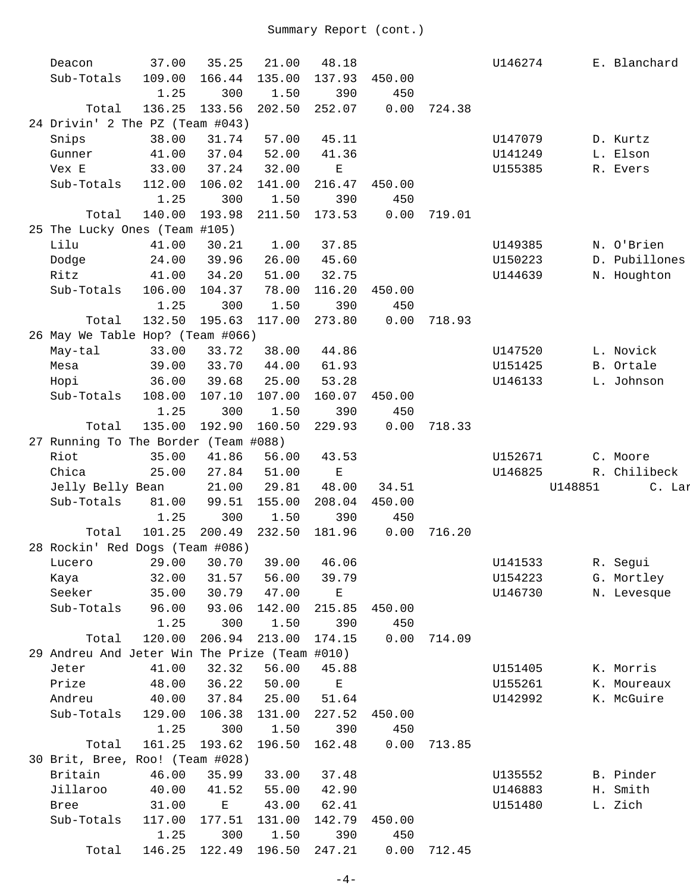| Deacon                                        | 37.00                   | 35.25         | 21.00          | 48.18         |             |        | U146274 |         | E. Blanchard  |
|-----------------------------------------------|-------------------------|---------------|----------------|---------------|-------------|--------|---------|---------|---------------|
|                                               |                         |               |                |               |             |        |         |         |               |
| Sub-Totals                                    | 109.00                  | 166.44        | 135.00         | 137.93        | 450.00      |        |         |         |               |
|                                               | 1.25                    | 300           | 1.50           | 390           | 450         |        |         |         |               |
| Total                                         | 136.25                  | 133.56        | 202.50         | 252.07        | 0.00        | 724.38 |         |         |               |
| 24 Drivin' 2 The PZ (Team #043)               |                         |               |                |               |             |        |         |         |               |
| Snips                                         | 38.00                   | 31.74         | 57.00          | 45.11         |             |        | U147079 |         | D. Kurtz      |
| Gunner                                        | 41.00                   | 37.04         | 52.00          | 41.36         |             |        | U141249 |         | L. Elson      |
| Vex E                                         | 33.00                   | 37.24         | 32.00          | $\mathbf E$   |             |        | U155385 |         | R. Evers      |
| Sub-Totals                                    | 112.00                  | 106.02        | 141.00         | 216.47        | 450.00      |        |         |         |               |
|                                               | 1.25                    | 300           | 1.50           | 390           | 450         |        |         |         |               |
| Total                                         | 140.00                  | 193.98        | 211.50         | 173.53        | 0.00        | 719.01 |         |         |               |
| 25 The Lucky Ones (Team #105)                 |                         |               |                |               |             |        |         |         |               |
| Lilu                                          | 41.00                   | 30.21         | 1.00           | 37.85         |             |        | U149385 |         | N. O'Brien    |
| Dodge                                         | 24.00                   | 39.96         | 26.00          | 45.60         |             |        | U150223 |         | D. Pubillones |
| Ritz                                          | 41.00                   | 34.20         | 51.00          | 32.75         |             |        | U144639 |         | N. Houghton   |
| Sub-Totals                                    | 106.00                  | 104.37        | 78.00          | 116.20        | 450.00      |        |         |         |               |
|                                               |                         |               |                | 390           |             |        |         |         |               |
|                                               | 1.25                    | 300           | 1.50           |               | 450         |        |         |         |               |
| Total                                         | 132.50                  | 195.63        | 117.00         | 273.80        | 0.00        | 718.93 |         |         |               |
| 26 May We Table Hop? (Team #066)              |                         |               |                |               |             |        |         |         |               |
| May-tal                                       | 33.00                   | 33.72         | 38.00          | 44.86         |             |        | U147520 |         | L. Novick     |
| Mesa                                          | 39.00                   | 33.70         | 44.00          | 61.93         |             |        | U151425 |         | B. Ortale     |
| Hopi                                          | 36.00                   | 39.68         | 25.00          | 53.28         |             |        | U146133 |         | L. Johnson    |
| Sub-Totals                                    | 108.00                  | 107.10        | 107.00         | 160.07        | 450.00      |        |         |         |               |
|                                               | 1.25                    | 300           | 1.50           | 390           | 450         |        |         |         |               |
| Total                                         | 135.00                  | 192.90        | 160.50         | 229.93        | 0.00        | 718.33 |         |         |               |
| 27 Running To The Border (Team #088)          |                         |               |                |               |             |        |         |         |               |
| Riot                                          | 35.00                   | 41.86         | 56.00          | 43.53         |             |        | U152671 |         | C. Moore      |
| Chica                                         | 25.00                   | 27.84         | 51.00          | $\mathbf E$   |             |        | U146825 |         | R. Chilibeck  |
| Jelly Belly Bean                              |                         | 21.00         | 29.81          | 48.00         | 34.51       |        |         | U148851 | C. Lar        |
| Sub-Totals                                    | 81.00                   | 99.51         | 155.00         | 208.04        | 450.00      |        |         |         |               |
|                                               | 1.25                    | 300           | 1.50           | 390           | 450         |        |         |         |               |
| Total                                         | 101.25                  | 200.49        | 232.50         | 181.96        | 0.00        | 716.20 |         |         |               |
| 28 Rockin' Red Dogs (Team #086)               |                         |               |                |               |             |        |         |         |               |
| Lucero                                        | 29.00 30.70 39.00 46.06 |               |                |               |             |        | U141533 |         | R. Segui      |
|                                               | 32.00                   | 31.57         | 56.00          | 39.79         |             |        | U154223 |         | G. Mortley    |
| Kaya<br>Seeker                                | 35.00                   | 30.79         | 47.00          |               |             |        |         |         |               |
|                                               |                         |               |                | $\mathbf E$   |             |        | U146730 |         | N. Levesque   |
| Sub-Totals                                    | 96.00                   | 93.06         | 142.00         | 215.85        | 450.00      |        |         |         |               |
|                                               | 1.25                    | 300           | 1.50           | 390           | 450         |        |         |         |               |
| Total                                         | 120.00                  | 206.94        | 213.00         | 174.15        | 0.00        | 714.09 |         |         |               |
|                                               |                         |               |                |               |             |        |         |         |               |
| 29 Andreu And Jeter Win The Prize (Team #010) |                         |               |                |               |             |        |         |         |               |
| Jeter                                         | 41.00                   | 32.32         | 56.00          | 45.88         |             |        | U151405 |         | K. Morris     |
| Prize                                         | 48.00                   | 36.22         | 50.00          | $\mathbf E$   |             |        | U155261 |         | K. Moureaux   |
| Andreu                                        | 40.00                   | 37.84         | 25.00          | 51.64         |             |        | U142992 |         | K. McGuire    |
| Sub-Totals                                    | 129.00                  | 106.38        | 131.00         | 227.52        | 450.00      |        |         |         |               |
|                                               | 1.25                    | 300           | 1.50           | 390           | 450         |        |         |         |               |
| Total                                         | 161.25                  | 193.62        | 196.50         | 162.48        | 0.00        | 713.85 |         |         |               |
| 30 Brit, Bree, Roo! (Team #028)               |                         |               |                |               |             |        |         |         |               |
| Britain                                       | 46.00                   | 35.99         | 33.00          | 37.48         |             |        |         |         | B. Pinder     |
|                                               |                         |               |                |               |             |        | U135552 |         |               |
| Jillaroo                                      | 40.00                   | 41.52         | 55.00          | 42.90         |             |        | U146883 |         | H. Smith      |
| Bree                                          | 31.00                   | $\mathbf E$   | 43.00          | 62.41         |             |        | U151480 |         | L. Zich       |
| Sub-Totals                                    | 117.00                  | 177.51        | 131.00         | 142.79        | 450.00      |        |         |         |               |
| Total                                         | 1.25<br>146.25          | 300<br>122.49 | 1.50<br>196.50 | 390<br>247.21 | 450<br>0.00 | 712.45 |         |         |               |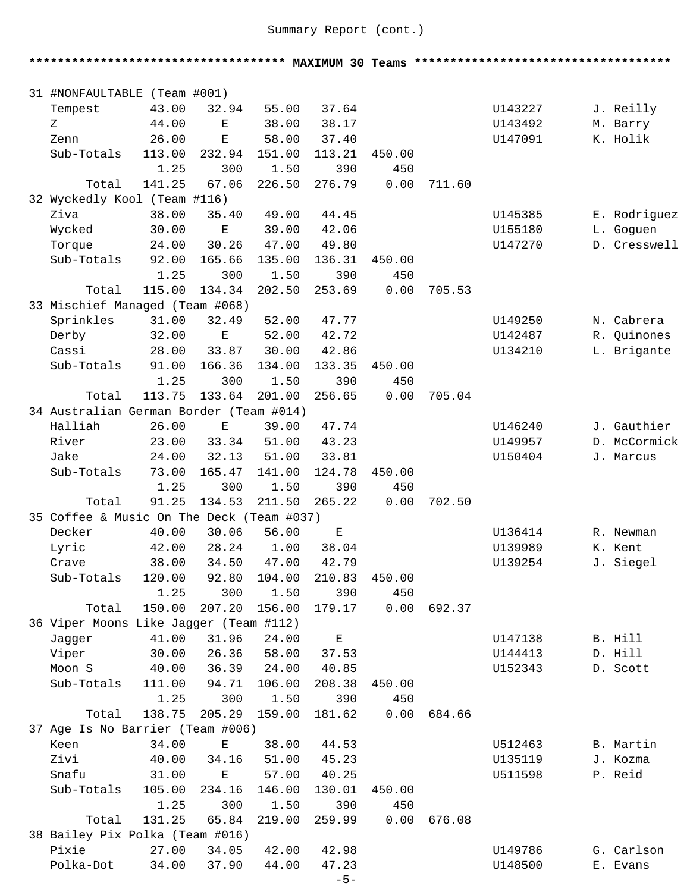**\*\*\*\*\*\*\*\*\*\*\*\*\*\*\*\*\*\*\*\*\*\*\*\*\*\*\*\*\*\*\*\*\*\*\*\* MAXIMUM 30 Teams \*\*\*\*\*\*\*\*\*\*\*\*\*\*\*\*\*\*\*\*\*\*\*\*\*\*\*\*\*\*\*\*\*\*\*\***  31 #NONFAULTABLE (Team #001) Tempest 43.00 32.94 55.00 37.64 U143227 J. Reilly Z 44.00 E 38.00 38.17 U143492 M. Barry Zenn 26.00 E 58.00 37.40 U147091 K. Holik Sub-Totals 113.00 232.94 151.00 113.21 450.00 1.25 300 1.50 390 450 Total 141.25 67.06 226.50 276.79 0.00 711.60 32 Wyckedly Kool (Team #116) Ziva 38.00 35.40 49.00 44.45 U145385 E. Rodriguez Wycked 30.00 E 39.00 42.06 U155180 L. Goguen Torque 24.00 30.26 47.00 49.80 U147270 D. Cresswell Sub-Totals 92.00 165.66 135.00 136.31 450.00 1.25 300 1.50 390 450 Total 115.00 134.34 202.50 253.69 0.00 705.53 33 Mischief Managed (Team #068) Sprinkles 31.00 32.49 52.00 47.77 U149250 N. Cabrera Derby 32.00 E 52.00 42.72 U142487 R. Quinones Cassi 28.00 33.87 30.00 42.86 U134210 L. Brigante Sub-Totals 91.00 166.36 134.00 133.35 450.00 1.25 300 1.50 390 450 Total 113.75 133.64 201.00 256.65 0.00 705.04 34 Australian German Border (Team #014) Halliah 26.00 E 39.00 47.74 U146240 J. Gauthier River 23.00 33.34 51.00 43.23 U149957 D. McCormick Jake 24.00 32.13 51.00 33.81 U150404 J. Marcus Sub-Totals 73.00 165.47 141.00 124.78 450.00 1.25 300 1.50 390 450 Total 91.25 134.53 211.50 265.22 0.00 702.50 35 Coffee & Music On The Deck (Team #037) Decker 40.00 30.06 56.00 E U136414 R. Newman Lyric 42.00 28.24 1.00 38.04 U139989 K. Kent Crave 38.00 34.50 47.00 42.79 U139254 J. Siegel Sub-Totals 120.00 92.80 104.00 210.83 450.00 1.25 300 1.50 390 450 Total 150.00 207.20 156.00 179.17 0.00 692.37 36 Viper Moons Like Jagger (Team #112) Jagger 41.00 31.96 24.00 E U147138 B. Hill Viper 30.00 26.36 58.00 37.53 U144413 D. Hill Moon S 40.00 36.39 24.00 40.85 U152343 D. Scott Sub-Totals 111.00 94.71 106.00 208.38 450.00 1.25 300 1.50 390 450 Total 138.75 205.29 159.00 181.62 0.00 684.66 37 Age Is No Barrier (Team #006) Keen 34.00 E 38.00 44.53 U512463 B. Martin Zivi 40.00 34.16 51.00 45.23 U135119 J. Kozma Snafu 31.00 E 57.00 40.25 U511598 P. Reid Sub-Totals 105.00 234.16 146.00 130.01 450.00 1.25 300 1.50 390 450 Total 131.25 65.84 219.00 259.99 0.00 676.08 38 Bailey Pix Polka (Team #016) Pixie 27.00 34.05 42.00 42.98 U149786 G. Carlson Polka-Dot 34.00 37.90 44.00 47.23 U148500 E. Evans

-5-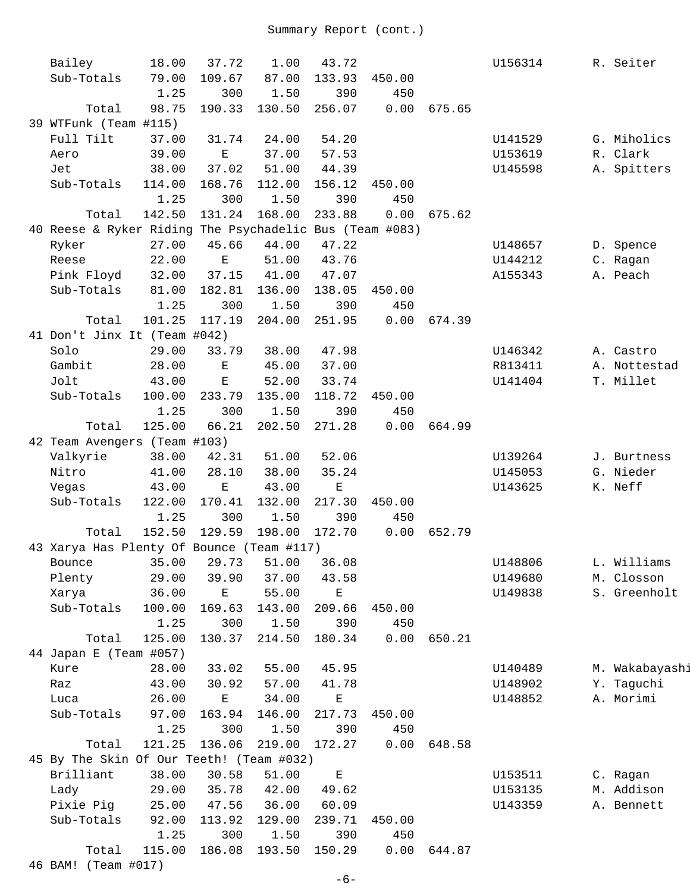| Bailey                                                  | 18.00          | 37.72                 | 1.00           | 43.72         |               |        | U156314 | R. Seiter      |
|---------------------------------------------------------|----------------|-----------------------|----------------|---------------|---------------|--------|---------|----------------|
| Sub-Totals                                              | 79.00          | 109.67                | 87.00          | 133.93        | 450.00        |        |         |                |
|                                                         | 1.25           | 300                   | 1.50           | 390           | 450           |        |         |                |
| Total                                                   | 98.75          | 190.33                | 130.50         | 256.07        | 0.00          | 675.65 |         |                |
| 39 WTFunk (Team #115)                                   |                |                       |                |               |               |        |         |                |
| Full Tilt                                               | 37.00          | 31.74                 | 24.00          | 54.20         |               |        | U141529 | G. Miholics    |
| Aero                                                    | 39.00          | $\mathbf E$           | 37.00          | 57.53         |               |        | U153619 | R. Clark       |
| Jet                                                     | 38.00          | 37.02                 | 51.00          | 44.39         |               |        | U145598 | A. Spitters    |
| Sub-Totals                                              | 114.00         | 168.76                | 112.00         | 156.12        | 450.00        |        |         |                |
|                                                         | 1.25           | 300                   | 1.50           | 390           | 450           |        |         |                |
| Total                                                   | 142.50         | 131.24                | 168.00         | 233.88        | 0.00          | 675.62 |         |                |
| 40 Reese & Ryker Riding The Psychadelic Bus (Team #083) |                |                       |                |               |               |        |         |                |
| Ryker                                                   | 27.00          | 45.66                 | 44.00          | 47.22         |               |        | U148657 | D. Spence      |
| Reese                                                   | 22.00          | $\mathbf E$           | 51.00          | 43.76         |               |        | U144212 | C. Ragan       |
| Pink Floyd                                              | 32.00          | 37.15                 | 41.00          | 47.07         |               |        | A155343 | A. Peach       |
| Sub-Totals                                              | 81.00          | 182.81                | 136.00         | 138.05        | 450.00        |        |         |                |
|                                                         | 1.25           | 300                   | 1.50           | 390           | 450           |        |         |                |
| Total                                                   | 101.25         | 117.19                | 204.00         | 251.95        | 0.00          | 674.39 |         |                |
| 41 Don't Jinx It (Team #042)                            |                |                       |                |               |               |        |         |                |
| Solo                                                    | 29.00          | 33.79                 | 38.00          | 47.98         |               |        | U146342 | A. Castro      |
| Gambit                                                  | 28.00          | $\mathbf E$           | 45.00          | 37.00         |               |        | R813411 | A. Nottestad   |
| Jolt                                                    | 43.00          | $\mathbf E$           | 52.00          | 33.74         |               |        | U141404 | T. Millet      |
| Sub-Totals                                              | 100.00         | 233.79                | 135.00         | 118.72        | 450.00        |        |         |                |
|                                                         | 1.25           | 300                   | 1.50           | 390           | 450           |        |         |                |
| Total                                                   | 125.00         | 66.21                 | 202.50         | 271.28        | 0.00          | 664.99 |         |                |
| 42 Team Avengers (Team #103)                            |                |                       |                |               |               |        |         |                |
| Valkyrie                                                | 38.00          | 42.31                 | 51.00          | 52.06         |               |        | U139264 | J. Burtness    |
| Nitro                                                   | 41.00          | 28.10                 | 38.00          | 35.24         |               |        | U145053 | G. Nieder      |
| Vegas                                                   | 43.00          | $\mathbf E$<br>170.41 | 43.00          | $\mathbf E$   |               |        | U143625 | K. Neff        |
| Sub-Totals                                              | 122.00<br>1.25 | 300                   | 132.00<br>1.50 | 217.30<br>390 | 450.00<br>450 |        |         |                |
| Total                                                   | 152.50         | 129.59                | 198.00         | 172.70        | 0.00          | 652.79 |         |                |
| 43 Xarya Has Plenty Of Bounce (Team #117)               |                |                       |                |               |               |        |         |                |
| Bounce                                                  |                | 35.00 29.73 51.00     |                | 36.08         |               |        | U148806 | L. Williams    |
| Plenty                                                  | 29.00          | 39.90                 | 37.00          | 43.58         |               |        | U149680 | M. Closson     |
| Xarya                                                   | 36.00          | $\mathbf E$           | 55.00          | $\mathbf E$   |               |        | U149838 | S. Greenholt   |
| Sub-Totals                                              | 100.00         | 169.63                | 143.00         | 209.66        | 450.00        |        |         |                |
|                                                         | 1.25           | 300                   | 1.50           | 390           | 450           |        |         |                |
| Total                                                   | 125.00         | 130.37                | 214.50         | 180.34        | 0.00          | 650.21 |         |                |
| 44 Japan E (Team #057)                                  |                |                       |                |               |               |        |         |                |
| Kure                                                    | 28.00          | 33.02                 | 55.00          | 45.95         |               |        | U140489 | M. Wakabayashi |
| Raz                                                     | 43.00          | 30.92                 | 57.00          | 41.78         |               |        | U148902 | Y. Taguchi     |
| Luca                                                    | 26.00          | $\mathbf E$           | 34.00          | Ε             |               |        | U148852 | A. Morimi      |
| Sub-Totals                                              | 97.00          | 163.94                | 146.00         | 217.73        | 450.00        |        |         |                |
|                                                         | 1.25           | 300                   | 1.50           | 390           | 450           |        |         |                |
| Total                                                   | 121.25         | 136.06                | 219.00         | 172.27        | 0.00          | 648.58 |         |                |
| 45 By The Skin Of Our Teeth! (Team #032)                |                |                       |                |               |               |        |         |                |
| Brilliant                                               | 38.00          | 30.58                 | 51.00          | $\mathbf E$   |               |        | U153511 | C. Ragan       |
| Lady                                                    | 29.00          | 35.78                 | 42.00          | 49.62         |               |        | U153135 | M. Addison     |
| Pixie Pig                                               | 25.00          | 47.56                 | 36.00          | 60.09         |               |        | U143359 | A. Bennett     |
| Sub-Totals                                              | 92.00          | 113.92                | 129.00         | 239.71        | 450.00        |        |         |                |
|                                                         | 1.25           | 300                   | 1.50           | 390           | 450           |        |         |                |
| Total                                                   | 115.00         | 186.08                | 193.50         | 150.29        | 0.00          | 644.87 |         |                |
| 46 BAM! (Team #017)                                     |                |                       |                |               |               |        |         |                |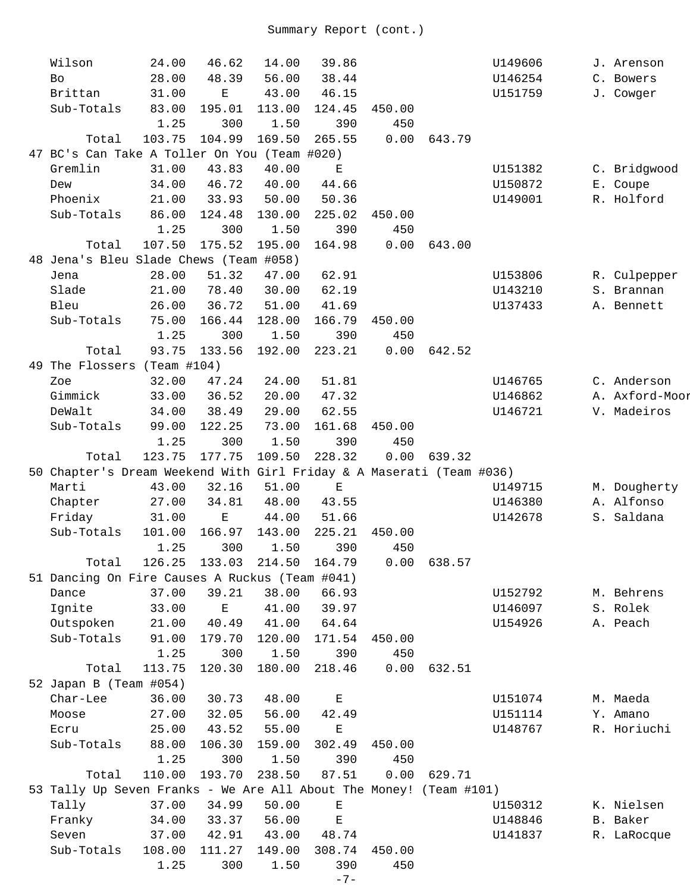| Wilson                                                               | 24.00  | 46.62                       | 14.00  | 39.86       |               |        | U149606 | J. Arenson     |
|----------------------------------------------------------------------|--------|-----------------------------|--------|-------------|---------------|--------|---------|----------------|
| <b>Bo</b>                                                            | 28.00  | 48.39                       | 56.00  | 38.44       |               |        | U146254 | C. Bowers      |
| Brittan                                                              | 31.00  | Е                           | 43.00  | 46.15       |               |        | U151759 | J. Cowger      |
| Sub-Totals                                                           | 83.00  | 195.01                      | 113.00 | 124.45      | 450.00        |        |         |                |
|                                                                      | 1.25   | 300                         | 1.50   | 390         | 450           |        |         |                |
| Total                                                                | 103.75 | 104.99                      | 169.50 | 265.55      | 0.00          | 643.79 |         |                |
| 47 BC's Can Take A Toller On You (Team #020)                         |        |                             |        |             |               |        |         |                |
| Gremlin                                                              | 31.00  | 43.83                       | 40.00  | $\mathbf E$ |               |        | U151382 | C. Bridgwood   |
| Dew                                                                  | 34.00  | 46.72                       | 40.00  | 44.66       |               |        | U150872 | E. Coupe       |
| Phoenix                                                              | 21.00  | 33.93                       | 50.00  | 50.36       |               |        | U149001 | R. Holford     |
| Sub-Totals                                                           | 86.00  | 124.48                      | 130.00 | 225.02      | 450.00        |        |         |                |
|                                                                      | 1.25   | 300                         | 1.50   | 390         | 450           |        |         |                |
| Total                                                                | 107.50 | 175.52                      | 195.00 | 164.98      | 0.00          | 643.00 |         |                |
| 48 Jena's Bleu Slade Chews (Team #058)                               |        |                             |        |             |               |        |         |                |
| Jena                                                                 | 28.00  | 51.32                       | 47.00  | 62.91       |               |        | U153806 | R. Culpepper   |
| Slade                                                                | 21.00  | 78.40                       | 30.00  | 62.19       |               |        | U143210 | S. Brannan     |
| Bleu                                                                 | 26.00  | 36.72                       | 51.00  | 41.69       |               |        | U137433 | A. Bennett     |
| Sub-Totals                                                           | 75.00  | 166.44                      | 128.00 | 166.79      | 450.00        |        |         |                |
|                                                                      | 1.25   | 300                         | 1.50   | 390         | 450           |        |         |                |
| Total                                                                | 93.75  | 133.56                      | 192.00 | 223.21      | 0.00          | 642.52 |         |                |
| 49 The Flossers (Team #104)                                          |        |                             |        |             |               |        |         |                |
| Zoe                                                                  | 32.00  | 47.24                       | 24.00  | 51.81       |               |        | U146765 | C. Anderson    |
| Gimmick                                                              | 33.00  | 36.52                       | 20.00  | 47.32       |               |        | U146862 | A. Axford-Moor |
| DeWalt                                                               | 34.00  | 38.49                       | 29.00  | 62.55       |               |        | U146721 | V. Madeiros    |
| Sub-Totals                                                           | 99.00  | 122.25                      | 73.00  | 161.68      | 450.00        |        |         |                |
|                                                                      | 1.25   | 300                         | 1.50   | 390         | 450           |        |         |                |
| Total                                                                | 123.75 | 177.75                      | 109.50 | 228.32      | 0.00          | 639.32 |         |                |
| 50 Chapter's Dream Weekend With Girl Friday & A Maserati (Team #036) |        |                             |        |             |               |        |         |                |
| Marti                                                                | 43.00  | 32.16                       | 51.00  | $\mathbf E$ |               |        | U149715 | M. Dougherty   |
| Chapter                                                              | 27.00  | 34.81                       | 48.00  | 43.55       |               |        | U146380 | A. Alfonso     |
| Friday                                                               | 31.00  | $\mathbf E$                 | 44.00  | 51.66       |               |        | U142678 | S. Saldana     |
| Sub-Totals                                                           | 101.00 | 166.97                      | 143.00 | 225.21      | 450.00        |        |         |                |
|                                                                      | 1.25   | 300                         | 1.50   | 390         | 450           |        |         |                |
| Total                                                                |        | 126.25 133.03 214.50 164.79 |        |             | $0.00$ 638.57 |        |         |                |
| 51 Dancing On Fire Causes A Ruckus (Team #041)                       |        |                             |        |             |               |        |         |                |
| Dance                                                                | 37.00  | 39.21                       | 38.00  | 66.93       |               |        | U152792 | M. Behrens     |
| Ignite                                                               | 33.00  | $\mathbf E$                 | 41.00  | 39.97       |               |        | U146097 | S. Rolek       |
| Outspoken                                                            | 21.00  | 40.49                       | 41.00  | 64.64       |               |        | U154926 | A. Peach       |
| Sub-Totals                                                           | 91.00  | 179.70                      | 120.00 | 171.54      | 450.00        |        |         |                |
|                                                                      | 1.25   | 300                         | 1.50   | 390         | 450           |        |         |                |
| Total                                                                | 113.75 | 120.30                      | 180.00 | 218.46      | 0.00          | 632.51 |         |                |
| 52 Japan B (Team #054)                                               |        |                             |        |             |               |        |         |                |
| Char-Lee                                                             | 36.00  | 30.73                       | 48.00  | $\mathbf E$ |               |        | U151074 | M. Maeda       |
| Moose                                                                | 27.00  | 32.05                       | 56.00  | 42.49       |               |        | U151114 | Y. Amano       |
| Ecru                                                                 | 25.00  | 43.52                       | 55.00  | $\mathbf E$ |               |        | U148767 | R. Horiuchi    |
| Sub-Totals                                                           | 88.00  | 106.30                      | 159.00 | 302.49      | 450.00        |        |         |                |
|                                                                      | 1.25   | 300                         | 1.50   | 390         | 450           |        |         |                |
| Total                                                                | 110.00 | 193.70                      | 238.50 | 87.51       | 0.00          | 629.71 |         |                |
| 53 Tally Up Seven Franks - We Are All About The Money! (Team #101)   |        |                             |        |             |               |        |         |                |
| Tally                                                                | 37.00  | 34.99                       | 50.00  | $\mathbf E$ |               |        | U150312 | K. Nielsen     |
| Franky                                                               | 34.00  | 33.37                       | 56.00  | $\mathbf E$ |               |        | U148846 | B. Baker       |
| Seven                                                                | 37.00  | 42.91                       | 43.00  | 48.74       |               |        | U141837 | R. LaRocque    |
| Sub-Totals                                                           | 108.00 | 111.27                      | 149.00 | 308.74      | 450.00        |        |         |                |
|                                                                      | 1.25   | 300                         | 1.50   | 390         | 450           |        |         |                |
|                                                                      |        |                             |        | $-7-$       |               |        |         |                |
|                                                                      |        |                             |        |             |               |        |         |                |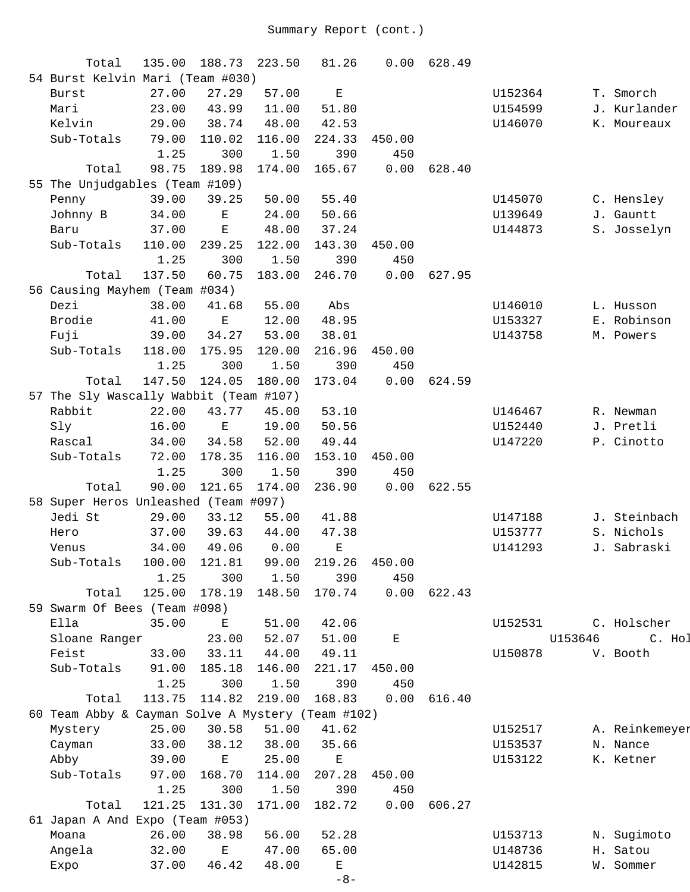| Total                                             | 135.00 | 188.73      | 223.50 | 81.26       | 0.00   | 628.49 |         |         |                |
|---------------------------------------------------|--------|-------------|--------|-------------|--------|--------|---------|---------|----------------|
| 54 Burst Kelvin Mari (Team #030)                  |        |             |        |             |        |        |         |         |                |
| <b>Burst</b>                                      | 27.00  | 27.29       | 57.00  | $\mathbf E$ |        |        | U152364 |         | T. Smorch      |
| Mari                                              | 23.00  | 43.99       | 11.00  | 51.80       |        |        | U154599 |         | J. Kurlander   |
| Kelvin                                            | 29.00  | 38.74       | 48.00  | 42.53       |        |        | U146070 |         | K. Moureaux    |
| Sub-Totals                                        | 79.00  | 110.02      | 116.00 | 224.33      | 450.00 |        |         |         |                |
|                                                   | 1.25   | 300         | 1.50   | 390         | 450    |        |         |         |                |
| Total                                             | 98.75  | 189.98      | 174.00 | 165.67      | 0.00   | 628.40 |         |         |                |
| 55 The Unjudgables (Team #109)                    |        |             |        |             |        |        |         |         |                |
| Penny                                             | 39.00  | 39.25       | 50.00  | 55.40       |        |        | U145070 |         | C. Hensley     |
| Johnny B                                          | 34.00  | $\mathbf E$ | 24.00  | 50.66       |        |        | U139649 |         | J. Gauntt      |
| Baru                                              | 37.00  | $\mathbf E$ | 48.00  | 37.24       |        |        | U144873 |         | S. Josselyn    |
| Sub-Totals                                        | 110.00 | 239.25      | 122.00 | 143.30      | 450.00 |        |         |         |                |
|                                                   | 1.25   | 300         | 1.50   | 390         | 450    |        |         |         |                |
| Total                                             | 137.50 | 60.75       | 183.00 | 246.70      | 0.00   | 627.95 |         |         |                |
| 56 Causing Mayhem (Team #034)                     |        |             |        |             |        |        |         |         |                |
| Dezi                                              | 38.00  | 41.68       | 55.00  | Abs         |        |        | U146010 |         | L. Husson      |
| Brodie                                            | 41.00  | $\mathbf E$ | 12.00  | 48.95       |        |        | U153327 |         | E. Robinson    |
| Fuji                                              | 39.00  | 34.27       | 53.00  | 38.01       |        |        | U143758 |         | M. Powers      |
| Sub-Totals                                        | 118.00 | 175.95      | 120.00 | 216.96      | 450.00 |        |         |         |                |
|                                                   | 1.25   | 300         | 1.50   | 390         | 450    |        |         |         |                |
| Total                                             | 147.50 | 124.05      | 180.00 | 173.04      | 0.00   | 624.59 |         |         |                |
| 57 The Sly Wascally Wabbit (Team #107)            |        |             |        |             |        |        |         |         |                |
| Rabbit                                            | 22.00  | 43.77       | 45.00  | 53.10       |        |        | U146467 |         | R. Newman      |
| Sly                                               | 16.00  | Ε           | 19.00  | 50.56       |        |        | U152440 |         | J. Pretli      |
| Rascal                                            | 34.00  | 34.58       | 52.00  | 49.44       |        |        | U147220 |         | P. Cinotto     |
| Sub-Totals                                        | 72.00  | 178.35      | 116.00 | 153.10      | 450.00 |        |         |         |                |
|                                                   | 1.25   | 300         | 1.50   | 390         | 450    |        |         |         |                |
| Total                                             | 90.00  | 121.65      |        | 236.90      | 0.00   | 622.55 |         |         |                |
|                                                   |        |             | 174.00 |             |        |        |         |         |                |
| 58 Super Heros Unleashed (Team #097)              |        |             |        |             |        |        |         |         |                |
| Jedi St                                           | 29.00  | 33.12       | 55.00  | 41.88       |        |        | U147188 |         | J. Steinbach   |
| Hero                                              | 37.00  | 39.63       | 44.00  | 47.38       |        |        | U153777 |         | S. Nichols     |
| Venus                                             | 34.00  | 49.06       | 0.00   | $\mathbf E$ |        |        | U141293 |         | J. Sabraski    |
| Sub-Totals                                        | 100.00 | 121.81      | 99.00  | 219.26      | 450.00 |        |         |         |                |
|                                                   | 1.25   | 300         | 1.50   | 390         | 450    |        |         |         |                |
| Total                                             | 125.00 | 178.19      | 148.50 | 170.74      | 0.00   | 622.43 |         |         |                |
| 59 Swarm Of Bees (Team #098)                      |        |             |        |             |        |        |         |         |                |
| Ella                                              | 35.00  | Ε           | 51.00  | 42.06       |        |        | U152531 |         | C. Holscher    |
| Sloane Ranger                                     |        | 23.00       | 52.07  | 51.00       | Е      |        |         | U153646 | C. Hol         |
| Feist                                             | 33.00  | 33.11       | 44.00  | 49.11       |        |        | U150878 |         | V. Booth       |
| Sub-Totals                                        | 91.00  | 185.18      | 146.00 | 221.17      | 450.00 |        |         |         |                |
|                                                   | 1.25   | 300         | 1.50   | 390         | 450    |        |         |         |                |
| Total                                             | 113.75 | 114.82      | 219.00 | 168.83      | 0.00   | 616.40 |         |         |                |
| 60 Team Abby & Cayman Solve A Mystery (Team #102) |        |             |        |             |        |        |         |         |                |
| Mystery                                           | 25.00  | 30.58       | 51.00  | 41.62       |        |        | U152517 |         | A. Reinkemeyer |
| Cayman                                            | 33.00  | 38.12       | 38.00  | 35.66       |        |        | U153537 |         | N. Nance       |
| Abby                                              | 39.00  | $\mathbf E$ | 25.00  | $\mathbf E$ |        |        | U153122 |         | K. Ketner      |
| Sub-Totals                                        | 97.00  | 168.70      | 114.00 | 207.28      | 450.00 |        |         |         |                |
|                                                   | 1.25   | 300         | 1.50   | 390         | 450    |        |         |         |                |
| Total                                             | 121.25 | 131.30      | 171.00 | 182.72      | 0.00   | 606.27 |         |         |                |
| 61 Japan A And Expo (Team #053)                   |        |             |        |             |        |        |         |         |                |
| Moana                                             | 26.00  | 38.98       | 56.00  | 52.28       |        |        | U153713 |         | N. Sugimoto    |
| Angela                                            | 32.00  | $\mathbf E$ | 47.00  | 65.00       |        |        | U148736 |         | H. Satou       |
| Expo                                              | 37.00  | 46.42       | 48.00  | $\mathbf E$ |        |        | U142815 |         | W. Sommer      |
|                                                   |        |             |        | $-8-$       |        |        |         |         |                |
|                                                   |        |             |        |             |        |        |         |         |                |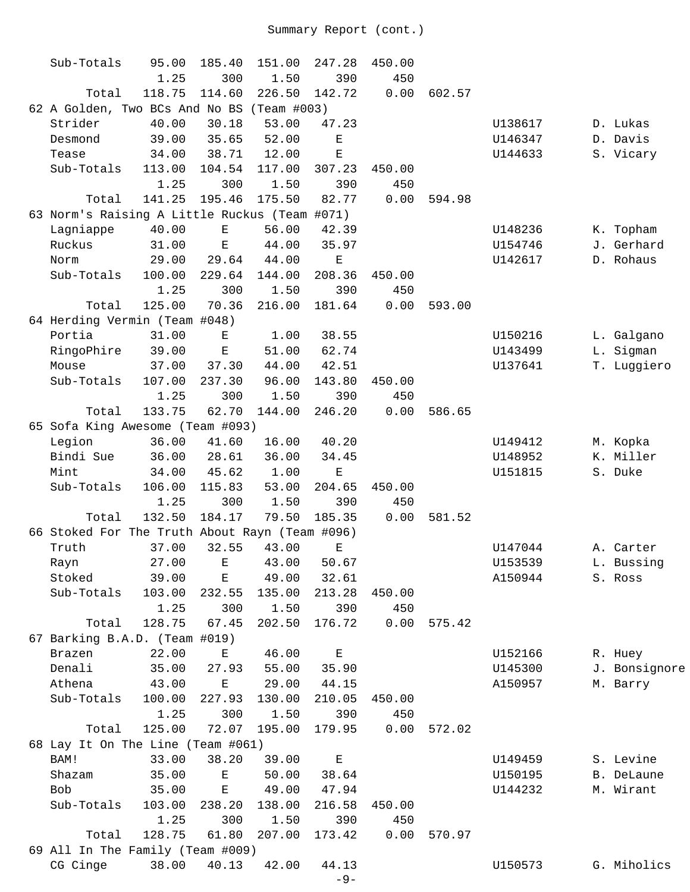| Sub-Totals                                     | 95.00  | 185.40                                                                                         | 151.00      | 247.28      | 450.00 |        |         |               |
|------------------------------------------------|--------|------------------------------------------------------------------------------------------------|-------------|-------------|--------|--------|---------|---------------|
|                                                | 1.25   | 300                                                                                            | 1.50        | 390         | 450    |        |         |               |
| Total                                          | 118.75 | 114.60                                                                                         | 226.50      | 142.72      | 0.00   | 602.57 |         |               |
| 62 A Golden, Two BCs And No BS                 |        |                                                                                                | (Team #003) |             |        |        |         |               |
| Strider                                        | 40.00  | 30.18                                                                                          | 53.00       | 47.23       |        |        | U138617 | D. Lukas      |
| Desmond                                        | 39.00  | 35.65                                                                                          | 52.00       | Е           |        |        | U146347 | D. Davis      |
| Tease                                          | 34.00  | 38.71                                                                                          | 12.00       | E           |        |        | U144633 | S. Vicary     |
| Sub-Totals                                     | 113.00 | 104.54                                                                                         | 117.00      | 307.23      | 450.00 |        |         |               |
|                                                | 1.25   | 300                                                                                            | 1.50        | 390         | 450    |        |         |               |
| Total                                          | 141.25 | 195.46                                                                                         | 175.50      | 82.77       | 0.00   | 594.98 |         |               |
| 63 Norm's Raising A Little Ruckus (Team #071)  |        |                                                                                                |             |             |        |        |         |               |
| Lagniappe                                      | 40.00  | $\mathbf{E}% _{t}\left  \mathbf{1}\right\rangle =\mathbf{1}_{t}\left  \mathbf{1}\right\rangle$ | 56.00       | 42.39       |        |        | U148236 | K. Topham     |
| Ruckus                                         | 31.00  | $\mathbf E$                                                                                    | 44.00       | 35.97       |        |        | U154746 | J. Gerhard    |
| Norm                                           | 29.00  | 29.64                                                                                          | 44.00       | Е           |        |        | U142617 | D. Rohaus     |
| Sub-Totals                                     | 100.00 | 229.64                                                                                         | 144.00      | 208.36      | 450.00 |        |         |               |
|                                                | 1.25   | 300                                                                                            | 1.50        | 390         | 450    |        |         |               |
| Total                                          | 125.00 | 70.36                                                                                          | 216.00      | 181.64      | 0.00   | 593.00 |         |               |
| 64 Herding Vermin (Team #048)                  |        |                                                                                                |             |             |        |        |         |               |
| Portia                                         | 31.00  | Е                                                                                              | 1.00        | 38.55       |        |        | U150216 | L. Galgano    |
| RingoPhire                                     | 39.00  | $\mathbf E$                                                                                    | 51.00       | 62.74       |        |        | U143499 | L. Sigman     |
| Mouse                                          | 37.00  | 37.30                                                                                          | 44.00       | 42.51       |        |        | U137641 | T. Luggiero   |
| Sub-Totals                                     | 107.00 | 237.30                                                                                         | 96.00       | 143.80      | 450.00 |        |         |               |
|                                                | 1.25   | 300                                                                                            | 1.50        | 390         | 450    |        |         |               |
| Total                                          | 133.75 | 62.70                                                                                          | 144.00      | 246.20      | 0.00   | 586.65 |         |               |
| 65 Sofa King Awesome (Team #093)               |        |                                                                                                |             |             |        |        |         |               |
| Legion                                         | 36.00  | 41.60                                                                                          | 16.00       | 40.20       |        |        | U149412 | M. Kopka      |
| Bindi Sue                                      | 36.00  | 28.61                                                                                          | 36.00       | 34.45       |        |        | U148952 | K. Miller     |
| Mint                                           | 34.00  | 45.62                                                                                          | 1.00        | $\mathbf E$ |        |        | U151815 | S. Duke       |
| Sub-Totals                                     | 106.00 | 115.83                                                                                         | 53.00       | 204.65      | 450.00 |        |         |               |
|                                                | 1.25   | 300                                                                                            | 1.50        | 390         | 450    |        |         |               |
| Total                                          | 132.50 | 184.17                                                                                         | 79.50       | 185.35      | 0.00   | 581.52 |         |               |
| 66 Stoked For The Truth About Rayn (Team #096) |        |                                                                                                |             |             |        |        |         |               |
| Truth                                          | 37.00  | 32.55                                                                                          | 43.00       | E           |        |        | U147044 | A. Carter     |
| Rayn                                           | 27.00  | $\mathbf{E}$                                                                                   | 43.00       | 50.67       |        |        | U153539 | L. Bussing    |
| Stoked                                         | 39.00  | Ε                                                                                              | 49.00       | 32.61       |        |        | A150944 | S. Ross       |
| Sub-Totals                                     | 103.00 | 232.55                                                                                         | 135.00      | 213.28      | 450.00 |        |         |               |
|                                                | 1.25   | 300                                                                                            | 1.50        | 390         | 450    |        |         |               |
| Total                                          | 128.75 | 67.45                                                                                          | 202.50      | 176.72      | 0.00   | 575.42 |         |               |
| 67 Barking B.A.D. (Team #019)                  |        |                                                                                                |             |             |        |        |         |               |
| Brazen                                         | 22.00  | Е                                                                                              | 46.00       | $\mathbf E$ |        |        | U152166 | R. Huey       |
| Denali                                         | 35.00  | 27.93                                                                                          | 55.00       | 35.90       |        |        | U145300 | J. Bonsignore |
| Athena                                         | 43.00  | $\mathbf E$                                                                                    | 29.00       | 44.15       |        |        | A150957 | M. Barry      |
| Sub-Totals                                     | 100.00 | 227.93                                                                                         | 130.00      | 210.05      | 450.00 |        |         |               |
|                                                | 1.25   | 300                                                                                            | 1.50        | 390         | 450    |        |         |               |
| Total                                          | 125.00 | 72.07                                                                                          | 195.00      | 179.95      | 0.00   | 572.02 |         |               |
| 68 Lay It On The Line (Team #061)              |        |                                                                                                |             |             |        |        |         |               |
| BAM!                                           | 33.00  | 38.20                                                                                          | 39.00       | $\mathbf E$ |        |        | U149459 | S. Levine     |
| Shazam                                         | 35.00  | Ε                                                                                              | 50.00       | 38.64       |        |        | U150195 | B. DeLaune    |
| Bob                                            | 35.00  | $\mathbf E$                                                                                    | 49.00       | 47.94       |        |        | U144232 | M. Wirant     |
| Sub-Totals                                     | 103.00 | 238.20                                                                                         | 138.00      | 216.58      | 450.00 |        |         |               |
|                                                | 1.25   | 300                                                                                            | 1.50        | 390         | 450    |        |         |               |
| Total                                          | 128.75 | 61.80                                                                                          | 207.00      | 173.42      | 0.00   | 570.97 |         |               |
| 69 All In The Family (Team #009)               |        |                                                                                                |             |             |        |        |         |               |
| CG Cinge                                       | 38.00  | 40.13                                                                                          | 42.00       | 44.13       |        |        | U150573 | G. Miholics   |
|                                                |        |                                                                                                |             | $-9-$       |        |        |         |               |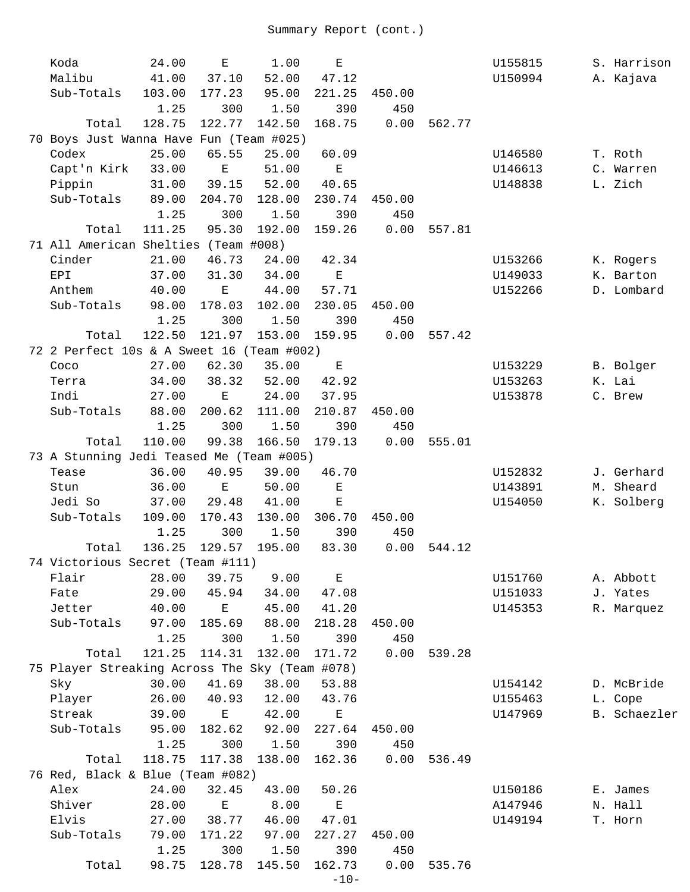| Koda        | 24.00                                                                                                                                                           | $\mathbf E$                                                                                                                                                                        | 1.00                                                                                                                                                                                             | $\mathbf E$                                                                                                                                                                                                                                                                                                                                    |                                                                                                                                                                                                                                                                                                                                                             |                                                                                                  | U155815                              |                                                                                                            | S. Harrison                                                                         |
|-------------|-----------------------------------------------------------------------------------------------------------------------------------------------------------------|------------------------------------------------------------------------------------------------------------------------------------------------------------------------------------|--------------------------------------------------------------------------------------------------------------------------------------------------------------------------------------------------|------------------------------------------------------------------------------------------------------------------------------------------------------------------------------------------------------------------------------------------------------------------------------------------------------------------------------------------------|-------------------------------------------------------------------------------------------------------------------------------------------------------------------------------------------------------------------------------------------------------------------------------------------------------------------------------------------------------------|--------------------------------------------------------------------------------------------------|--------------------------------------|------------------------------------------------------------------------------------------------------------|-------------------------------------------------------------------------------------|
| Malibu      | 41.00                                                                                                                                                           | 37.10                                                                                                                                                                              | 52.00                                                                                                                                                                                            | 47.12                                                                                                                                                                                                                                                                                                                                          |                                                                                                                                                                                                                                                                                                                                                             |                                                                                                  | U150994                              |                                                                                                            | A. Kajava                                                                           |
| Sub-Totals  | 103.00                                                                                                                                                          | 177.23                                                                                                                                                                             | 95.00                                                                                                                                                                                            | 221.25                                                                                                                                                                                                                                                                                                                                         | 450.00                                                                                                                                                                                                                                                                                                                                                      |                                                                                                  |                                      |                                                                                                            |                                                                                     |
|             | 1.25                                                                                                                                                            | 300                                                                                                                                                                                | 1.50                                                                                                                                                                                             | 390                                                                                                                                                                                                                                                                                                                                            | 450                                                                                                                                                                                                                                                                                                                                                         |                                                                                                  |                                      |                                                                                                            |                                                                                     |
| Total       | 128.75                                                                                                                                                          | 122.77                                                                                                                                                                             | 142.50                                                                                                                                                                                           | 168.75                                                                                                                                                                                                                                                                                                                                         | 0.00                                                                                                                                                                                                                                                                                                                                                        | 562.77                                                                                           |                                      |                                                                                                            |                                                                                     |
|             |                                                                                                                                                                 |                                                                                                                                                                                    |                                                                                                                                                                                                  |                                                                                                                                                                                                                                                                                                                                                |                                                                                                                                                                                                                                                                                                                                                             |                                                                                                  |                                      |                                                                                                            |                                                                                     |
| Codex       | 25.00                                                                                                                                                           | 65.55                                                                                                                                                                              | 25.00                                                                                                                                                                                            | 60.09                                                                                                                                                                                                                                                                                                                                          |                                                                                                                                                                                                                                                                                                                                                             |                                                                                                  | U146580                              | T. Roth                                                                                                    |                                                                                     |
| Capt'n Kirk | 33.00                                                                                                                                                           | Е                                                                                                                                                                                  | 51.00                                                                                                                                                                                            | $\mathbf E$                                                                                                                                                                                                                                                                                                                                    |                                                                                                                                                                                                                                                                                                                                                             |                                                                                                  | U146613                              |                                                                                                            | C. Warren                                                                           |
| Pippin      | 31.00                                                                                                                                                           | 39.15                                                                                                                                                                              | 52.00                                                                                                                                                                                            | 40.65                                                                                                                                                                                                                                                                                                                                          |                                                                                                                                                                                                                                                                                                                                                             |                                                                                                  | U148838                              | L. Zich                                                                                                    |                                                                                     |
| Sub-Totals  | 89.00                                                                                                                                                           | 204.70                                                                                                                                                                             | 128.00                                                                                                                                                                                           | 230.74                                                                                                                                                                                                                                                                                                                                         | 450.00                                                                                                                                                                                                                                                                                                                                                      |                                                                                                  |                                      |                                                                                                            |                                                                                     |
|             | 1.25                                                                                                                                                            | 300                                                                                                                                                                                | 1.50                                                                                                                                                                                             | 390                                                                                                                                                                                                                                                                                                                                            | 450                                                                                                                                                                                                                                                                                                                                                         |                                                                                                  |                                      |                                                                                                            |                                                                                     |
| Total       | 111.25                                                                                                                                                          | 95.30                                                                                                                                                                              | 192.00                                                                                                                                                                                           | 159.26                                                                                                                                                                                                                                                                                                                                         | 0.00                                                                                                                                                                                                                                                                                                                                                        | 557.81                                                                                           |                                      |                                                                                                            |                                                                                     |
|             |                                                                                                                                                                 |                                                                                                                                                                                    |                                                                                                                                                                                                  |                                                                                                                                                                                                                                                                                                                                                |                                                                                                                                                                                                                                                                                                                                                             |                                                                                                  |                                      |                                                                                                            |                                                                                     |
| Cinder      | 21.00                                                                                                                                                           | 46.73                                                                                                                                                                              | 24.00                                                                                                                                                                                            | 42.34                                                                                                                                                                                                                                                                                                                                          |                                                                                                                                                                                                                                                                                                                                                             |                                                                                                  | U153266                              |                                                                                                            | K. Rogers                                                                           |
| EPI         | 37.00                                                                                                                                                           | 31.30                                                                                                                                                                              | 34.00                                                                                                                                                                                            | $\mathbf E$                                                                                                                                                                                                                                                                                                                                    |                                                                                                                                                                                                                                                                                                                                                             |                                                                                                  | U149033                              |                                                                                                            | K. Barton                                                                           |
| Anthem      | 40.00                                                                                                                                                           | Е                                                                                                                                                                                  | 44.00                                                                                                                                                                                            | 57.71                                                                                                                                                                                                                                                                                                                                          |                                                                                                                                                                                                                                                                                                                                                             |                                                                                                  |                                      |                                                                                                            | D. Lombard                                                                          |
|             |                                                                                                                                                                 |                                                                                                                                                                                    |                                                                                                                                                                                                  |                                                                                                                                                                                                                                                                                                                                                |                                                                                                                                                                                                                                                                                                                                                             |                                                                                                  |                                      |                                                                                                            |                                                                                     |
|             |                                                                                                                                                                 |                                                                                                                                                                                    |                                                                                                                                                                                                  |                                                                                                                                                                                                                                                                                                                                                |                                                                                                                                                                                                                                                                                                                                                             |                                                                                                  |                                      |                                                                                                            |                                                                                     |
|             |                                                                                                                                                                 |                                                                                                                                                                                    |                                                                                                                                                                                                  |                                                                                                                                                                                                                                                                                                                                                |                                                                                                                                                                                                                                                                                                                                                             |                                                                                                  |                                      |                                                                                                            |                                                                                     |
|             |                                                                                                                                                                 |                                                                                                                                                                                    |                                                                                                                                                                                                  |                                                                                                                                                                                                                                                                                                                                                |                                                                                                                                                                                                                                                                                                                                                             |                                                                                                  |                                      |                                                                                                            |                                                                                     |
|             |                                                                                                                                                                 |                                                                                                                                                                                    |                                                                                                                                                                                                  |                                                                                                                                                                                                                                                                                                                                                |                                                                                                                                                                                                                                                                                                                                                             |                                                                                                  |                                      |                                                                                                            |                                                                                     |
|             |                                                                                                                                                                 |                                                                                                                                                                                    |                                                                                                                                                                                                  |                                                                                                                                                                                                                                                                                                                                                |                                                                                                                                                                                                                                                                                                                                                             |                                                                                                  |                                      |                                                                                                            |                                                                                     |
|             |                                                                                                                                                                 |                                                                                                                                                                                    |                                                                                                                                                                                                  |                                                                                                                                                                                                                                                                                                                                                |                                                                                                                                                                                                                                                                                                                                                             |                                                                                                  |                                      |                                                                                                            |                                                                                     |
|             |                                                                                                                                                                 |                                                                                                                                                                                    |                                                                                                                                                                                                  |                                                                                                                                                                                                                                                                                                                                                |                                                                                                                                                                                                                                                                                                                                                             |                                                                                                  |                                      |                                                                                                            |                                                                                     |
|             |                                                                                                                                                                 |                                                                                                                                                                                    |                                                                                                                                                                                                  |                                                                                                                                                                                                                                                                                                                                                |                                                                                                                                                                                                                                                                                                                                                             |                                                                                                  |                                      |                                                                                                            |                                                                                     |
|             |                                                                                                                                                                 |                                                                                                                                                                                    |                                                                                                                                                                                                  |                                                                                                                                                                                                                                                                                                                                                |                                                                                                                                                                                                                                                                                                                                                             |                                                                                                  |                                      |                                                                                                            |                                                                                     |
|             |                                                                                                                                                                 |                                                                                                                                                                                    |                                                                                                                                                                                                  |                                                                                                                                                                                                                                                                                                                                                |                                                                                                                                                                                                                                                                                                                                                             |                                                                                                  |                                      |                                                                                                            |                                                                                     |
|             |                                                                                                                                                                 |                                                                                                                                                                                    |                                                                                                                                                                                                  |                                                                                                                                                                                                                                                                                                                                                |                                                                                                                                                                                                                                                                                                                                                             |                                                                                                  |                                      |                                                                                                            |                                                                                     |
|             |                                                                                                                                                                 |                                                                                                                                                                                    |                                                                                                                                                                                                  |                                                                                                                                                                                                                                                                                                                                                |                                                                                                                                                                                                                                                                                                                                                             |                                                                                                  |                                      |                                                                                                            |                                                                                     |
|             |                                                                                                                                                                 |                                                                                                                                                                                    |                                                                                                                                                                                                  |                                                                                                                                                                                                                                                                                                                                                |                                                                                                                                                                                                                                                                                                                                                             |                                                                                                  |                                      |                                                                                                            |                                                                                     |
|             |                                                                                                                                                                 |                                                                                                                                                                                    |                                                                                                                                                                                                  |                                                                                                                                                                                                                                                                                                                                                |                                                                                                                                                                                                                                                                                                                                                             |                                                                                                  |                                      |                                                                                                            |                                                                                     |
|             |                                                                                                                                                                 |                                                                                                                                                                                    |                                                                                                                                                                                                  |                                                                                                                                                                                                                                                                                                                                                |                                                                                                                                                                                                                                                                                                                                                             |                                                                                                  |                                      |                                                                                                            |                                                                                     |
|             |                                                                                                                                                                 |                                                                                                                                                                                    |                                                                                                                                                                                                  |                                                                                                                                                                                                                                                                                                                                                |                                                                                                                                                                                                                                                                                                                                                             |                                                                                                  |                                      |                                                                                                            |                                                                                     |
|             |                                                                                                                                                                 |                                                                                                                                                                                    |                                                                                                                                                                                                  |                                                                                                                                                                                                                                                                                                                                                |                                                                                                                                                                                                                                                                                                                                                             |                                                                                                  |                                      |                                                                                                            |                                                                                     |
|             |                                                                                                                                                                 |                                                                                                                                                                                    |                                                                                                                                                                                                  |                                                                                                                                                                                                                                                                                                                                                |                                                                                                                                                                                                                                                                                                                                                             |                                                                                                  |                                      |                                                                                                            |                                                                                     |
|             |                                                                                                                                                                 |                                                                                                                                                                                    |                                                                                                                                                                                                  |                                                                                                                                                                                                                                                                                                                                                |                                                                                                                                                                                                                                                                                                                                                             |                                                                                                  |                                      |                                                                                                            | A. Abbott                                                                           |
|             |                                                                                                                                                                 |                                                                                                                                                                                    |                                                                                                                                                                                                  |                                                                                                                                                                                                                                                                                                                                                |                                                                                                                                                                                                                                                                                                                                                             |                                                                                                  |                                      |                                                                                                            |                                                                                     |
|             |                                                                                                                                                                 |                                                                                                                                                                                    |                                                                                                                                                                                                  |                                                                                                                                                                                                                                                                                                                                                |                                                                                                                                                                                                                                                                                                                                                             |                                                                                                  |                                      |                                                                                                            | R. Marquez                                                                          |
|             |                                                                                                                                                                 |                                                                                                                                                                                    |                                                                                                                                                                                                  |                                                                                                                                                                                                                                                                                                                                                |                                                                                                                                                                                                                                                                                                                                                             |                                                                                                  |                                      |                                                                                                            |                                                                                     |
|             | 1.25                                                                                                                                                            |                                                                                                                                                                                    | 1.50                                                                                                                                                                                             |                                                                                                                                                                                                                                                                                                                                                |                                                                                                                                                                                                                                                                                                                                                             |                                                                                                  |                                      |                                                                                                            |                                                                                     |
| Total       |                                                                                                                                                                 |                                                                                                                                                                                    |                                                                                                                                                                                                  |                                                                                                                                                                                                                                                                                                                                                |                                                                                                                                                                                                                                                                                                                                                             |                                                                                                  |                                      |                                                                                                            |                                                                                     |
|             |                                                                                                                                                                 |                                                                                                                                                                                    |                                                                                                                                                                                                  |                                                                                                                                                                                                                                                                                                                                                |                                                                                                                                                                                                                                                                                                                                                             |                                                                                                  |                                      |                                                                                                            |                                                                                     |
| Sky         | 30.00                                                                                                                                                           | 41.69                                                                                                                                                                              | 38.00                                                                                                                                                                                            | 53.88                                                                                                                                                                                                                                                                                                                                          |                                                                                                                                                                                                                                                                                                                                                             |                                                                                                  | U154142                              |                                                                                                            | D. McBride                                                                          |
| Player      | 26.00                                                                                                                                                           | 40.93                                                                                                                                                                              | 12.00                                                                                                                                                                                            | 43.76                                                                                                                                                                                                                                                                                                                                          |                                                                                                                                                                                                                                                                                                                                                             |                                                                                                  | U155463                              | L. Cope                                                                                                    |                                                                                     |
| Streak      | 39.00                                                                                                                                                           | $\mathbf E$                                                                                                                                                                        | 42.00                                                                                                                                                                                            | $\mathbf E$                                                                                                                                                                                                                                                                                                                                    |                                                                                                                                                                                                                                                                                                                                                             |                                                                                                  | U147969                              |                                                                                                            | B. Schaezler                                                                        |
| Sub-Totals  | 95.00                                                                                                                                                           | 182.62                                                                                                                                                                             | 92.00                                                                                                                                                                                            | 227.64                                                                                                                                                                                                                                                                                                                                         | 450.00                                                                                                                                                                                                                                                                                                                                                      |                                                                                                  |                                      |                                                                                                            |                                                                                     |
|             | 1.25                                                                                                                                                            | 300                                                                                                                                                                                | 1.50                                                                                                                                                                                             | 390                                                                                                                                                                                                                                                                                                                                            | 450                                                                                                                                                                                                                                                                                                                                                         |                                                                                                  |                                      |                                                                                                            |                                                                                     |
| Total       | 118.75                                                                                                                                                          | 117.38                                                                                                                                                                             | 138.00                                                                                                                                                                                           | 162.36                                                                                                                                                                                                                                                                                                                                         | 0.00                                                                                                                                                                                                                                                                                                                                                        | 536.49                                                                                           |                                      |                                                                                                            |                                                                                     |
|             |                                                                                                                                                                 |                                                                                                                                                                                    |                                                                                                                                                                                                  |                                                                                                                                                                                                                                                                                                                                                |                                                                                                                                                                                                                                                                                                                                                             |                                                                                                  |                                      |                                                                                                            |                                                                                     |
| Alex        | 24.00                                                                                                                                                           | 32.45                                                                                                                                                                              | 43.00                                                                                                                                                                                            | 50.26                                                                                                                                                                                                                                                                                                                                          |                                                                                                                                                                                                                                                                                                                                                             |                                                                                                  | U150186                              | E. James                                                                                                   |                                                                                     |
| Shiver      | 28.00                                                                                                                                                           | $\mathbf E$                                                                                                                                                                        | 8.00                                                                                                                                                                                             | $\mathbf E$                                                                                                                                                                                                                                                                                                                                    |                                                                                                                                                                                                                                                                                                                                                             |                                                                                                  | A147946                              | N. Hall                                                                                                    |                                                                                     |
| Elvis       | 27.00                                                                                                                                                           | 38.77                                                                                                                                                                              | 46.00                                                                                                                                                                                            | 47.01                                                                                                                                                                                                                                                                                                                                          |                                                                                                                                                                                                                                                                                                                                                             |                                                                                                  | U149194                              | T. Horn                                                                                                    |                                                                                     |
| Sub-Totals  | 79.00                                                                                                                                                           | 171.22                                                                                                                                                                             | 97.00                                                                                                                                                                                            | 227.27                                                                                                                                                                                                                                                                                                                                         | 450.00                                                                                                                                                                                                                                                                                                                                                      |                                                                                                  |                                      |                                                                                                            |                                                                                     |
|             | 1.25                                                                                                                                                            | 300                                                                                                                                                                                | 1.50                                                                                                                                                                                             | 390                                                                                                                                                                                                                                                                                                                                            | 450                                                                                                                                                                                                                                                                                                                                                         |                                                                                                  |                                      |                                                                                                            |                                                                                     |
| Total       | 98.75                                                                                                                                                           | 128.78                                                                                                                                                                             | 145.50                                                                                                                                                                                           | 162.73                                                                                                                                                                                                                                                                                                                                         | 0.00                                                                                                                                                                                                                                                                                                                                                        | 535.76                                                                                           |                                      |                                                                                                            |                                                                                     |
|             |                                                                                                                                                                 |                                                                                                                                                                                    |                                                                                                                                                                                                  | $-10-$                                                                                                                                                                                                                                                                                                                                         |                                                                                                                                                                                                                                                                                                                                                             |                                                                                                  |                                      |                                                                                                            |                                                                                     |
|             | Sub-Totals<br>Total<br>Coco<br>Terra<br>Indi<br>Sub-Totals<br>Total<br>Tease<br>Stun<br>Jedi So<br>Sub-Totals<br>Total<br>Flair<br>Fate<br>Jetter<br>Sub-Totals | 98.00<br>1.25<br>122.50<br>27.00<br>34.00<br>27.00<br>88.00<br>1.25<br>110.00<br>36.00<br>36.00<br>37.00<br>109.00<br>1.25<br>136.25<br>28.00<br>29.00<br>40.00<br>97.00<br>121.25 | 178.03<br>300<br>121.97<br>62.30<br>38.32<br>$\mathbf E$<br>200.62<br>300<br>99.38<br>40.95<br>Е<br>29.48<br>170.43<br>300<br>129.57<br>39.75<br>45.94<br>$\mathbf E$<br>185.69<br>300<br>114.31 | 70 Boys Just Wanna Have Fun (Team #025)<br>71 All American Shelties (Team #008)<br>102.00<br>1.50<br>153.00<br>35.00<br>52.00<br>24.00<br>111.00<br>1.50<br>166.50<br>39.00<br>50.00<br>41.00<br>130.00<br>1.50<br>195.00<br>74 Victorious Secret (Team #111)<br>9.00<br>34.00<br>45.00<br>88.00<br>132.00<br>76 Red, Black & Blue (Team #082) | 230.05<br>390<br>159.95<br>72 2 Perfect 10s & A Sweet 16 (Team #002)<br>$\mathbf E$<br>42.92<br>37.95<br>210.87<br>390<br>179.13<br>73 A Stunning Jedi Teased Me (Team #005)<br>46.70<br>$\mathbf E$<br>$\mathbf E$<br>306.70<br>390<br>83.30<br>$\mathbf E$<br>47.08<br>41.20<br>218.28<br>390<br>171.72<br>75 Player Streaking Across The Sky (Team #078) | 450.00<br>450<br>0.00<br>450.00<br>450<br>0.00<br>450.00<br>450<br>0.00<br>450.00<br>450<br>0.00 | 557.42<br>555.01<br>544.12<br>539.28 | U152266<br>U153229<br>U153263<br>U153878<br>U152832<br>U143891<br>U154050<br>U151760<br>U151033<br>U145353 | B. Bolger<br>K. Lai<br>C. Brew<br>J. Gerhard<br>M. Sheard<br>K. Solberg<br>J. Yates |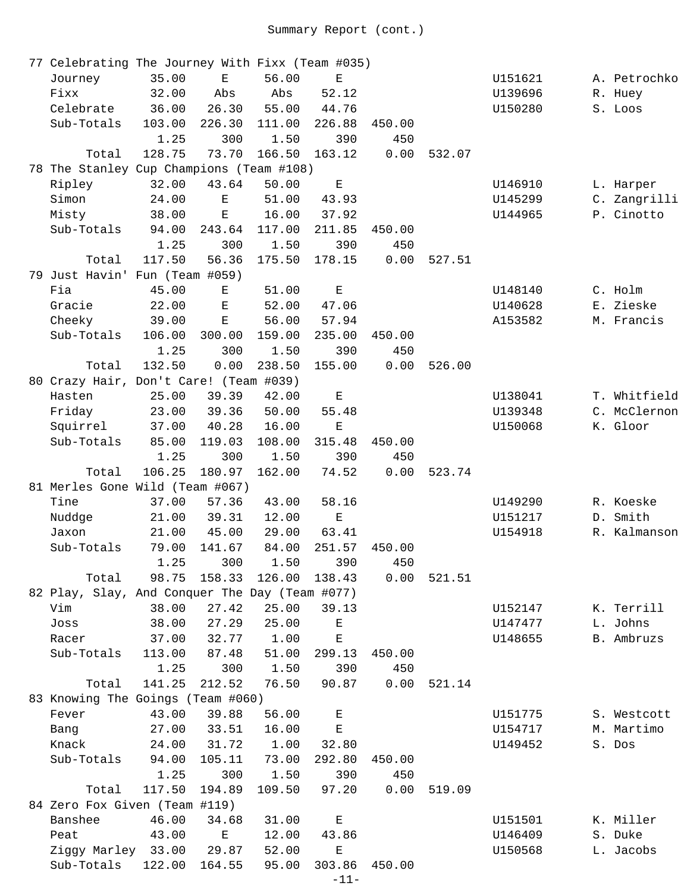| 77 Celebrating The Journey With Fixx (Team #035) |        |                                                                                                |        |                                                                                                |        |               |         |              |
|--------------------------------------------------|--------|------------------------------------------------------------------------------------------------|--------|------------------------------------------------------------------------------------------------|--------|---------------|---------|--------------|
| Journey                                          | 35.00  | $\mathbf E$                                                                                    | 56.00  | $\mathbf{E}% _{t}\left  \mathbf{1}\right\rangle =\mathbf{1}_{t}\left  \mathbf{1}\right\rangle$ |        |               | U151621 | A. Petrochko |
| Fixx                                             | 32.00  | Abs                                                                                            | Abs    | 52.12                                                                                          |        |               | U139696 | R. Huey      |
| Celebrate                                        | 36.00  | 26.30                                                                                          | 55.00  | 44.76                                                                                          |        |               | U150280 | S. Loos      |
| Sub-Totals                                       | 103.00 | 226.30                                                                                         | 111.00 | 226.88                                                                                         | 450.00 |               |         |              |
|                                                  | 1.25   | 300                                                                                            | 1.50   | 390                                                                                            | 450    |               |         |              |
| Total                                            | 128.75 | 73.70                                                                                          | 166.50 | 163.12                                                                                         | 0.00   | 532.07        |         |              |
| 78 The Stanley Cup Champions (Team #108)         |        |                                                                                                |        |                                                                                                |        |               |         |              |
| Ripley                                           | 32.00  | 43.64                                                                                          | 50.00  | $\mathbf E$                                                                                    |        |               | U146910 | L. Harper    |
| Simon                                            | 24.00  | Е                                                                                              | 51.00  | 43.93                                                                                          |        |               | U145299 | C. Zangrilli |
| Misty                                            | 38.00  | $\mathbf E$                                                                                    | 16.00  | 37.92                                                                                          |        |               | U144965 | P. Cinotto   |
| Sub-Totals                                       | 94.00  | 243.64                                                                                         | 117.00 | 211.85                                                                                         | 450.00 |               |         |              |
|                                                  | 1.25   | 300                                                                                            | 1.50   | 390                                                                                            | 450    |               |         |              |
| Total                                            | 117.50 | 56.36                                                                                          | 175.50 | 178.15                                                                                         | 0.00   | 527.51        |         |              |
| 79 Just Havin' Fun (Team #059)                   |        |                                                                                                |        |                                                                                                |        |               |         |              |
| Fia                                              | 45.00  | Ε                                                                                              | 51.00  | $\mathbf E$                                                                                    |        |               | U148140 | C. Holm      |
| Gracie                                           | 22.00  | Е                                                                                              | 52.00  | 47.06                                                                                          |        |               | U140628 | E. Zieske    |
| Cheeky                                           | 39.00  | $\mathbf{E}% _{t}\left  \mathbf{1}\right\rangle =\mathbf{1}_{t}\left  \mathbf{1}\right\rangle$ | 56.00  | 57.94                                                                                          |        |               | A153582 | M. Francis   |
| Sub-Totals                                       | 106.00 | 300.00                                                                                         | 159.00 | 235.00                                                                                         | 450.00 |               |         |              |
|                                                  | 1.25   | 300                                                                                            | 1.50   | 390                                                                                            | 450    |               |         |              |
| Total                                            | 132.50 | 0.00                                                                                           | 238.50 | 155.00                                                                                         | 0.00   | 526.00        |         |              |
| 80 Crazy Hair, Don't Care! (Team #039)           |        |                                                                                                |        |                                                                                                |        |               |         |              |
| Hasten                                           | 25.00  | 39.39                                                                                          | 42.00  | $\mathbf E$                                                                                    |        |               | U138041 | T. Whitfield |
| Friday                                           | 23.00  | 39.36                                                                                          | 50.00  | 55.48                                                                                          |        |               | U139348 | C. McClernon |
| Squirrel                                         | 37.00  | 40.28                                                                                          | 16.00  | Ε                                                                                              |        |               | U150068 | K. Gloor     |
| Sub-Totals                                       | 85.00  | 119.03                                                                                         | 108.00 | 315.48                                                                                         | 450.00 |               |         |              |
|                                                  | 1.25   | 300                                                                                            | 1.50   | 390                                                                                            | 450    |               |         |              |
| Total                                            | 106.25 | 180.97                                                                                         | 162.00 | 74.52                                                                                          | 0.00   | 523.74        |         |              |
| 81 Merles Gone Wild (Team #067)                  |        |                                                                                                |        |                                                                                                |        |               |         |              |
| Tine                                             | 37.00  | 57.36                                                                                          | 43.00  | 58.16                                                                                          |        |               | U149290 | R. Koeske    |
| Nuddge                                           | 21.00  | 39.31                                                                                          | 12.00  | $\mathbf E$                                                                                    |        |               | U151217 | D. Smith     |
| Jaxon                                            | 21.00  | 45.00                                                                                          | 29.00  | 63.41                                                                                          |        |               | U154918 | R. Kalmanson |
| Sub-Totals                                       | 79.00  | 141.67                                                                                         | 84.00  | 251.57                                                                                         | 450.00 |               |         |              |
|                                                  | 1.25   | 300                                                                                            | 1.50   | 390                                                                                            | 450    |               |         |              |
| Total                                            |        | 98.75 158.33 126.00 138.43                                                                     |        |                                                                                                |        | $0.00$ 521.51 |         |              |
| 82 Play, Slay, And Conquer The Day (Team #077)   |        |                                                                                                |        |                                                                                                |        |               |         |              |
| Vim                                              | 38.00  | 27.42                                                                                          | 25.00  | 39.13                                                                                          |        |               | U152147 | K. Terrill   |
| Joss                                             | 38.00  | 27.29                                                                                          | 25.00  | $\mathbf{E}% _{0}$                                                                             |        |               | U147477 | L. Johns     |
| Racer                                            | 37.00  | 32.77                                                                                          | 1.00   | $\mathbf E$                                                                                    |        |               | U148655 | B. Ambruzs   |
| Sub-Totals                                       | 113.00 | 87.48                                                                                          | 51.00  | 299.13                                                                                         | 450.00 |               |         |              |
|                                                  | 1.25   | 300                                                                                            | 1.50   | 390                                                                                            | 450    |               |         |              |
| Total                                            | 141.25 | 212.52                                                                                         | 76.50  | 90.87                                                                                          | 0.00   | 521.14        |         |              |
| 83 Knowing The Goings (Team #060)                |        |                                                                                                |        |                                                                                                |        |               |         |              |
| Fever                                            | 43.00  | 39.88                                                                                          | 56.00  | Е                                                                                              |        |               | U151775 | S. Westcott  |
| Bang                                             | 27.00  | 33.51                                                                                          | 16.00  | $\mathbf{E}% _{0}$                                                                             |        |               | U154717 | M. Martimo   |
| Knack                                            | 24.00  | 31.72                                                                                          | 1.00   | 32.80                                                                                          |        |               | U149452 | S. Dos       |
| Sub-Totals                                       | 94.00  | 105.11                                                                                         | 73.00  | 292.80                                                                                         | 450.00 |               |         |              |
|                                                  | 1.25   | 300                                                                                            | 1.50   | 390                                                                                            | 450    |               |         |              |
| Total                                            | 117.50 | 194.89                                                                                         | 109.50 | 97.20                                                                                          | 0.00   | 519.09        |         |              |
| 84 Zero Fox Given (Team #119)                    |        |                                                                                                |        |                                                                                                |        |               |         |              |
| Banshee                                          | 46.00  | 34.68                                                                                          | 31.00  | Е                                                                                              |        |               | U151501 | K. Miller    |
| Peat                                             | 43.00  | $\mathbf{E}$ and $\mathbf{E}$                                                                  | 12.00  | 43.86                                                                                          |        |               | U146409 | S. Duke      |
| Ziggy Marley 33.00                               |        | 29.87                                                                                          | 52.00  | Е                                                                                              |        |               | U150568 | L. Jacobs    |
| Sub-Totals                                       | 122.00 | 164.55                                                                                         | 95.00  | 303.86                                                                                         | 450.00 |               |         |              |
|                                                  |        |                                                                                                |        |                                                                                                |        |               |         |              |

```
-11-
```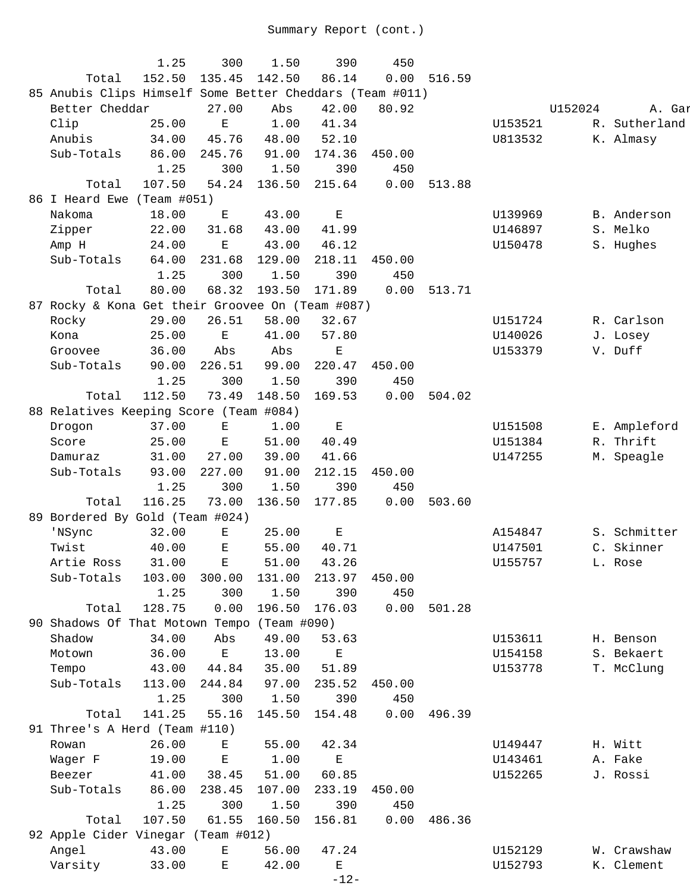|                                                          | 1.25   | 300                                                                                            | 1.50   | 390         | 450    |        |         |         |               |
|----------------------------------------------------------|--------|------------------------------------------------------------------------------------------------|--------|-------------|--------|--------|---------|---------|---------------|
| Total                                                    | 152.50 | 135.45                                                                                         | 142.50 | 86.14       | 0.00   | 516.59 |         |         |               |
| 85 Anubis Clips Himself Some Better Cheddars (Team #011) |        |                                                                                                |        |             |        |        |         |         |               |
| Better Cheddar                                           |        | 27.00                                                                                          | Abs    | 42.00       | 80.92  |        |         | U152024 | A. Gar        |
| Clip                                                     | 25.00  | $\mathbf E$                                                                                    | 1.00   | 41.34       |        |        | U153521 |         | R. Sutherland |
| Anubis                                                   | 34.00  | 45.76                                                                                          | 48.00  | 52.10       |        |        | U813532 |         | K. Almasy     |
| Sub-Totals                                               | 86.00  | 245.76                                                                                         | 91.00  | 174.36      | 450.00 |        |         |         |               |
|                                                          | 1.25   | 300                                                                                            | 1.50   | 390         | 450    |        |         |         |               |
| Total                                                    | 107.50 | 54.24                                                                                          | 136.50 | 215.64      | 0.00   | 513.88 |         |         |               |
| 86 I Heard Ewe (Team #051)                               |        |                                                                                                |        |             |        |        |         |         |               |
| Nakoma                                                   | 18.00  | Е                                                                                              | 43.00  | Е           |        |        | U139969 |         | B. Anderson   |
| Zipper                                                   | 22.00  | 31.68                                                                                          | 43.00  | 41.99       |        |        | U146897 |         | S. Melko      |
| Amp H                                                    | 24.00  | $\mathbf{E}% _{t}\left  \mathbf{1}\right\rangle =\mathbf{1}_{t}\left  \mathbf{1}\right\rangle$ | 43.00  | 46.12       |        |        | U150478 |         | S. Hughes     |
| Sub-Totals                                               | 64.00  | 231.68                                                                                         | 129.00 | 218.11      | 450.00 |        |         |         |               |
|                                                          | 1.25   | 300                                                                                            | 1.50   | 390         | 450    |        |         |         |               |
| Total                                                    | 80.00  | 68.32                                                                                          | 193.50 | 171.89      | 0.00   | 513.71 |         |         |               |
| 87 Rocky & Kona Get their Groovee On (Team #087)         |        |                                                                                                |        |             |        |        |         |         |               |
| Rocky                                                    | 29.00  | 26.51                                                                                          | 58.00  | 32.67       |        |        | U151724 |         | R. Carlson    |
| Kona                                                     | 25.00  | $\mathbf E$                                                                                    | 41.00  | 57.80       |        |        | U140026 |         | J. Losey      |
| Groovee                                                  | 36.00  | Abs                                                                                            | Abs    | Ε           |        |        | U153379 |         | V. Duff       |
| Sub-Totals                                               | 90.00  | 226.51                                                                                         | 99.00  | 220.47      | 450.00 |        |         |         |               |
|                                                          | 1.25   | 300                                                                                            | 1.50   | 390         | 450    |        |         |         |               |
|                                                          |        |                                                                                                |        |             |        |        |         |         |               |
| Total                                                    | 112.50 | 73.49                                                                                          | 148.50 | 169.53      | 0.00   | 504.02 |         |         |               |
| 88 Relatives Keeping Score (Team #084)                   |        |                                                                                                |        |             |        |        |         |         |               |
| Drogon                                                   | 37.00  | $\mathbf E$                                                                                    | 1.00   | $\mathbf E$ |        |        | U151508 |         | E. Ampleford  |
| Score                                                    | 25.00  | $\mathbf E$                                                                                    | 51.00  | 40.49       |        |        | U151384 |         | R. Thrift     |
| Damuraz                                                  | 31.00  | 27.00                                                                                          | 39.00  | 41.66       |        |        | U147255 |         | M. Speagle    |
| Sub-Totals                                               | 93.00  | 227.00                                                                                         | 91.00  | 212.15      | 450.00 |        |         |         |               |
|                                                          | 1.25   | 300                                                                                            | 1.50   | 390         | 450    |        |         |         |               |
| Total                                                    | 116.25 | 73.00                                                                                          | 136.50 | 177.85      | 0.00   | 503.60 |         |         |               |
| 89 Bordered By Gold (Team #024)                          |        |                                                                                                |        |             |        |        |         |         |               |
| 'NSync                                                   | 32.00  | $\mathbf E$                                                                                    | 25.00  | $\mathbf E$ |        |        | A154847 |         | S. Schmitter  |
| Twist                                                    | 40.00  | $\mathbf E$                                                                                    | 55.00  | 40.71       |        |        | U147501 |         | C. Skinner    |
| Artie Ross 31.00 E                                       |        |                                                                                                |        | 51.00 43.26 |        |        | U155757 |         | L. Rose       |
| Sub-Totals                                               | 103.00 | 300.00                                                                                         | 131.00 | 213.97      | 450.00 |        |         |         |               |
|                                                          | 1.25   | 300                                                                                            | 1.50   | 390         | 450    |        |         |         |               |
| Total                                                    | 128.75 | 0.00                                                                                           | 196.50 | 176.03      | 0.00   | 501.28 |         |         |               |
| 90 Shadows Of That Motown Tempo (Team #090)              |        |                                                                                                |        |             |        |        |         |         |               |
| Shadow                                                   | 34.00  | Abs                                                                                            | 49.00  | 53.63       |        |        | U153611 |         | H. Benson     |
| Motown                                                   | 36.00  | Е                                                                                              | 13.00  | $\mathbf E$ |        |        | U154158 |         | S. Bekaert    |
| Tempo                                                    | 43.00  | 44.84                                                                                          | 35.00  | 51.89       |        |        | U153778 |         | T. McClung    |
| Sub-Totals                                               | 113.00 | 244.84                                                                                         | 97.00  | 235.52      | 450.00 |        |         |         |               |
|                                                          | 1.25   | 300                                                                                            | 1.50   | 390         | 450    |        |         |         |               |
| Total                                                    | 141.25 | 55.16                                                                                          | 145.50 | 154.48      | 0.00   | 496.39 |         |         |               |
| 91 Three's A Herd (Team #110)                            |        |                                                                                                |        |             |        |        |         |         |               |
| Rowan                                                    | 26.00  | Е                                                                                              | 55.00  | 42.34       |        |        | U149447 |         | H. Witt       |
| Wager F                                                  | 19.00  | $\mathbf E$                                                                                    | 1.00   | $\mathbf E$ |        |        | U143461 |         | A. Fake       |
| Beezer                                                   | 41.00  | 38.45                                                                                          | 51.00  | 60.85       |        |        | U152265 |         | J. Rossi      |
| Sub-Totals                                               | 86.00  | 238.45                                                                                         | 107.00 | 233.19      | 450.00 |        |         |         |               |
|                                                          | 1.25   | 300                                                                                            | 1.50   | 390         | 450    |        |         |         |               |
|                                                          |        |                                                                                                | 160.50 |             |        |        |         |         |               |
| Total                                                    | 107.50 | 61.55                                                                                          |        | 156.81      | 0.00   | 486.36 |         |         |               |
| 92 Apple Cider Vinegar (Team #012)                       |        |                                                                                                |        |             |        |        |         |         |               |
| Angel                                                    | 43.00  | $\mathbf{E}% _{t}\left  \mathbf{1}\right\rangle =\mathbf{1}_{t}\left  \mathbf{1}\right\rangle$ | 56.00  | 47.24       |        |        | U152129 |         | W. Crawshaw   |
| Varsity                                                  | 33.00  | Е                                                                                              | 42.00  | Е           |        |        | U152793 |         | K. Clement    |
|                                                          |        |                                                                                                |        | $-12-$      |        |        |         |         |               |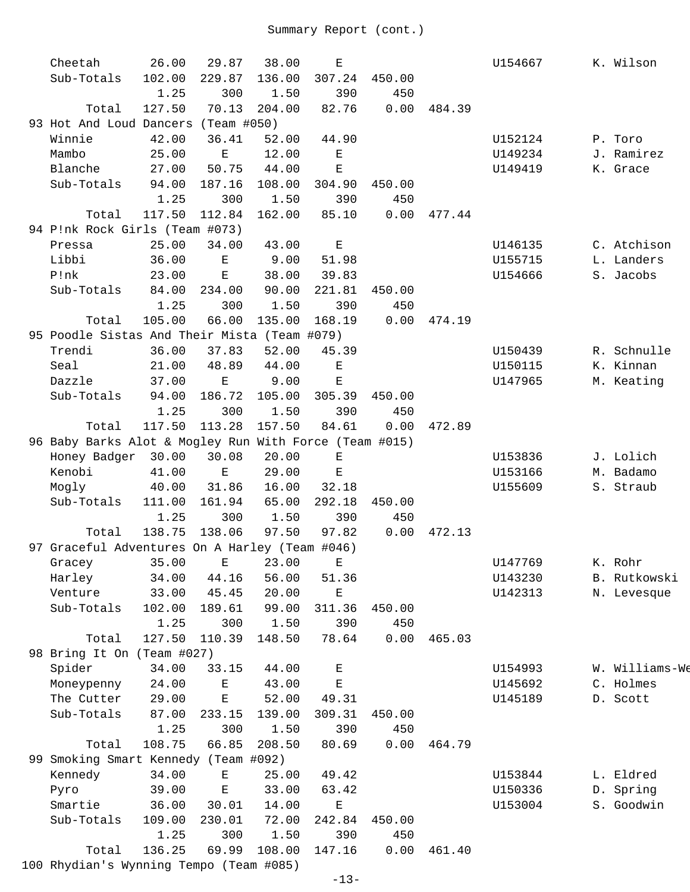|     | Cheetah                                                | 26.00  | 29.87              | 38.00  | Ε           |        |               | U154667 | K. Wilson      |
|-----|--------------------------------------------------------|--------|--------------------|--------|-------------|--------|---------------|---------|----------------|
|     | Sub-Totals                                             | 102.00 | 229.87             | 136.00 | 307.24      | 450.00 |               |         |                |
|     |                                                        | 1.25   | 300                | 1.50   | 390         | 450    |               |         |                |
|     | Total                                                  | 127.50 | 70.13              | 204.00 | 82.76       | 0.00   | 484.39        |         |                |
|     | 93 Hot And Loud Dancers (Team #050)                    |        |                    |        |             |        |               |         |                |
|     | Winnie                                                 | 42.00  | 36.41              | 52.00  | 44.90       |        |               | U152124 | P. Toro        |
|     | Mambo                                                  | 25.00  | $\mathbf{E}% _{0}$ | 12.00  | $\mathbf E$ |        |               | U149234 | J. Ramirez     |
|     | Blanche                                                | 27.00  | 50.75              | 44.00  | $\mathbf E$ |        |               | U149419 | K. Grace       |
|     | Sub-Totals                                             | 94.00  | 187.16             | 108.00 | 304.90      | 450.00 |               |         |                |
|     |                                                        | 1.25   | 300                | 1.50   | 390         | 450    |               |         |                |
|     | Total                                                  | 117.50 | 112.84             | 162.00 | 85.10       | 0.00   | 477.44        |         |                |
|     | 94 P!nk Rock Girls (Team #073)                         |        |                    |        |             |        |               |         |                |
|     | Pressa                                                 | 25.00  | 34.00              | 43.00  | $\mathbf E$ |        |               | U146135 | C. Atchison    |
|     | Libbi                                                  | 36.00  | $\mathbf{E}$       | 9.00   | 51.98       |        |               | U155715 | L. Landers     |
|     | P!nk                                                   | 23.00  | E                  | 38.00  | 39.83       |        |               | U154666 | S. Jacobs      |
|     | Sub-Totals                                             | 84.00  | 234.00             | 90.00  | 221.81      | 450.00 |               |         |                |
|     |                                                        | 1.25   | 300                | 1.50   | 390         | 450    |               |         |                |
|     | Total                                                  | 105.00 | 66.00              | 135.00 | 168.19      |        | $0.00$ 474.19 |         |                |
|     | 95 Poodle Sistas And Their Mista (Team #079)           |        |                    |        |             |        |               |         |                |
|     | Trendi                                                 | 36.00  | 37.83              | 52.00  | 45.39       |        |               | U150439 | R. Schnulle    |
|     |                                                        |        |                    |        |             |        |               |         | K. Kinnan      |
|     | Seal<br>Dazzle                                         | 21.00  | 48.89              | 44.00  | $\mathbf E$ |        |               | U150115 |                |
|     |                                                        | 37.00  | $\mathbf E$        | 9.00   | $\mathbf E$ |        |               | U147965 | M. Keating     |
|     | Sub-Totals                                             | 94.00  | 186.72             | 105.00 | 305.39      | 450.00 |               |         |                |
|     |                                                        | 1.25   | 300                | 1.50   | 390         | 450    |               |         |                |
|     | Total                                                  | 117.50 | 113.28             | 157.50 | 84.61       | 0.00   | 472.89        |         |                |
|     | 96 Baby Barks Alot & Mogley Run With Force (Team #015) |        |                    |        |             |        |               |         |                |
|     | Honey Badger 30.00                                     |        | 30.08              | 20.00  | $\mathbf E$ |        |               | U153836 | J. Lolich      |
|     | Kenobi                                                 | 41.00  | $\,$ E             | 29.00  | $\mathbf E$ |        |               | U153166 | M. Badamo      |
|     | Mogly                                                  | 40.00  | 31.86              | 16.00  | 32.18       |        |               | U155609 | S. Straub      |
|     | Sub-Totals                                             | 111.00 | 161.94             | 65.00  | 292.18      | 450.00 |               |         |                |
|     |                                                        | 1.25   | 300                | 1.50   | 390         | 450    |               |         |                |
|     | Total                                                  | 138.75 | 138.06             | 97.50  | 97.82       | 0.00   | 472.13        |         |                |
|     | 97 Graceful Adventures On A Harley (Team #046)         |        |                    |        |             |        |               |         |                |
|     | Gracey                                                 | 35.00  | E                  | 23.00  | $E_{\perp}$ |        |               | U147769 | K. Rohr        |
|     | Harley                                                 | 34.00  | 44.16              | 56.00  | 51.36       |        |               | U143230 | B. Rutkowski   |
|     | Venture                                                | 33.00  | 45.45              | 20.00  | Ε           |        |               | U142313 | N. Levesque    |
|     | Sub-Totals                                             | 102.00 | 189.61             | 99.00  | 311.36      | 450.00 |               |         |                |
|     |                                                        | 1.25   | 300                | 1.50   | 390         | 450    |               |         |                |
|     | Total                                                  | 127.50 | 110.39             | 148.50 | 78.64       | 0.00   | 465.03        |         |                |
|     | 98 Bring It On (Team #027)                             |        |                    |        |             |        |               |         |                |
|     | Spider                                                 | 34.00  | 33.15              | 44.00  | Ε           |        |               | U154993 | W. Williams-We |
|     | Moneypenny                                             | 24.00  | Ε                  | 43.00  | Ε           |        |               | U145692 | C. Holmes      |
|     | The Cutter                                             | 29.00  | Ε                  | 52.00  | 49.31       |        |               | U145189 | D. Scott       |
|     | Sub-Totals                                             | 87.00  | 233.15             | 139.00 | 309.31      | 450.00 |               |         |                |
|     |                                                        | 1.25   | 300                | 1.50   | 390         | 450    |               |         |                |
|     | Total                                                  | 108.75 | 66.85              | 208.50 | 80.69       | 0.00   | 464.79        |         |                |
| 99. | Smoking Smart Kennedy (Team #092)                      |        |                    |        |             |        |               |         |                |
|     |                                                        |        |                    |        |             |        |               |         |                |
|     | Kennedy                                                | 34.00  | Е                  | 25.00  | 49.42       |        |               | U153844 | L. Eldred      |
|     | Pyro                                                   | 39.00  | $\mathbf E$        | 33.00  | 63.42       |        |               | U150336 | D. Spring      |
|     | Smartie                                                | 36.00  | 30.01              | 14.00  | Ε           |        |               | U153004 | S. Goodwin     |
|     | Sub-Totals                                             | 109.00 | 230.01             | 72.00  | 242.84      | 450.00 |               |         |                |
|     |                                                        | 1.25   | 300                | 1.50   | 390         | 450    |               |         |                |
|     | Total                                                  | 136.25 | 69.99              | 108.00 | 147.16      | 0.00   | 461.40        |         |                |
|     | 100 Rhydian's Wynning Tempo (Team #085)                |        |                    |        |             |        |               |         |                |
|     |                                                        |        |                    |        | $-12-$      |        |               |         |                |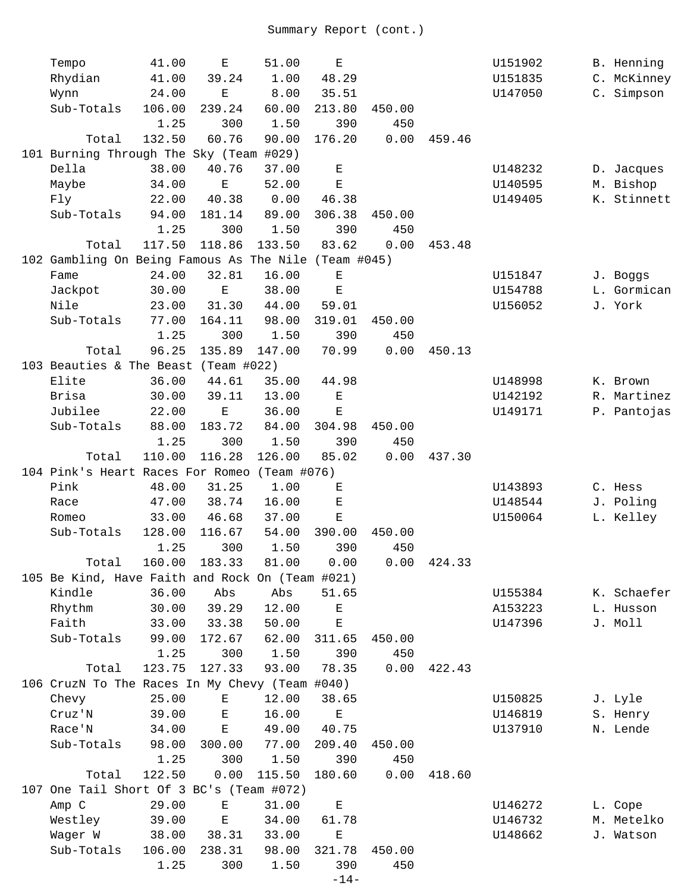| Tempo                                                | 41.00  | $\mathbf E$    | 51.00       | $\mathbf E$ |               |        | U151902 | B. Henning  |
|------------------------------------------------------|--------|----------------|-------------|-------------|---------------|--------|---------|-------------|
| Rhydian                                              | 41.00  | 39.24          | 1.00        | 48.29       |               |        | U151835 | C. McKinney |
| Wynn                                                 | 24.00  | $\mathbf E$    | 8.00        | 35.51       |               |        | U147050 | C. Simpson  |
| Sub-Totals                                           | 106.00 | 239.24         | 60.00       | 213.80      | 450.00        |        |         |             |
|                                                      | 1.25   | 300            | 1.50        | 390         | 450           |        |         |             |
| Total                                                | 132.50 | 60.76          | 90.00       | 176.20      | 0.00          | 459.46 |         |             |
| 101 Burning Through The Sky (Team #029)              |        |                |             |             |               |        |         |             |
| Della                                                | 38.00  | 40.76          | 37.00       | $\mathbf E$ |               |        | U148232 | D. Jacques  |
| Maybe                                                | 34.00  | $\mathbf E$    | 52.00       | $\mathbf E$ |               |        | U140595 | M. Bishop   |
| Fly                                                  | 22.00  | 40.38          | 0.00        | 46.38       |               |        | U149405 | K. Stinnett |
| Sub-Totals                                           | 94.00  | 181.14         | 89.00       | 306.38      | 450.00        |        |         |             |
|                                                      | 1.25   | 300            | 1.50        | 390         | 450           |        |         |             |
| Total                                                | 117.50 | 118.86         | 133.50      | 83.62       | 0.00          | 453.48 |         |             |
| 102 Gambling On Being Famous As The Nile (Team #045) |        |                |             |             |               |        |         |             |
| Fame                                                 | 24.00  | 32.81          | 16.00       | $\mathbf E$ |               |        | U151847 | J. Boggs    |
| Jackpot                                              | 30.00  | $\mathbf E$    | 38.00       | $\mathbf E$ |               |        | U154788 | L. Gormican |
| Nile                                                 | 23.00  | 31.30          | 44.00       | 59.01       |               |        | U156052 | J. York     |
| Sub-Totals                                           | 77.00  | 164.11         | 98.00       | 319.01      | 450.00        |        |         |             |
|                                                      | 1.25   | 300            | 1.50        | 390         | 450           |        |         |             |
| Total                                                | 96.25  | 135.89         | 147.00      | 70.99       | 0.00          | 450.13 |         |             |
| 103 Beauties & The Beast (Team #022)                 |        |                |             |             |               |        |         |             |
| Elite                                                | 36.00  | 44.61          | 35.00       | 44.98       |               |        | U148998 | K. Brown    |
| Brisa                                                | 30.00  | 39.11          | 13.00       | $\mathbf E$ |               |        | U142192 | R. Martinez |
| Jubilee                                              | 22.00  | Ε              | 36.00       | $\mathbf E$ |               |        | U149171 | P. Pantojas |
| Sub-Totals                                           | 88.00  | 183.72         | 84.00       | 304.98      | 450.00        |        |         |             |
|                                                      | 1.25   | 300            | 1.50        | 390         | 450           |        |         |             |
| Total                                                | 110.00 | 116.28         | 126.00      | 85.02       | 0.00          | 437.30 |         |             |
| 104 Pink's Heart Races For Romeo                     |        |                | (Team #076) |             |               |        |         |             |
| Pink                                                 | 48.00  | 31.25          | 1.00        | $\mathbf E$ |               |        | U143893 | C. Hess     |
|                                                      | 47.00  |                | 16.00       | $\mathbf E$ |               |        |         | J. Poling   |
| Race                                                 | 33.00  | 38.74<br>46.68 | 37.00       |             |               |        | U148544 | L. Kelley   |
| Romeo                                                |        | 116.67         |             | Ε           |               |        | U150064 |             |
| Sub-Totals                                           | 128.00 |                | 54.00       | 390.00      | 450.00        |        |         |             |
|                                                      | 1.25   | 300            | 1.50        | 390         | 450           |        |         |             |
| Total                                                |        | 160.00 183.33  | 81.00       | 0.00        | $0.00$ 424.33 |        |         |             |
| 105 Be Kind, Have Faith and Rock On (Team #021)      |        |                |             |             |               |        |         |             |
| Kindle                                               | 36.00  | Abs            | Abs         | 51.65       |               |        | U155384 | K. Schaefer |
| Rhythm                                               | 30.00  | 39.29          | 12.00       | $\mathbf E$ |               |        | A153223 | L. Husson   |
| Faith                                                | 33.00  | 33.38          | 50.00       | $\mathbf E$ |               |        | U147396 | J. Moll     |
| Sub-Totals                                           | 99.00  | 172.67         | 62.00       | 311.65      | 450.00        |        |         |             |
|                                                      | 1.25   | 300            | 1.50        | 390         | 450           |        |         |             |
| Total                                                | 123.75 | 127.33         | 93.00       | 78.35       | 0.00          | 422.43 |         |             |
| 106 CruzN To The Races In My Chevy (Team #040)       |        |                |             |             |               |        |         |             |
| Chevy                                                | 25.00  | Ε              | 12.00       | 38.65       |               |        | U150825 | J. Lyle     |
| Cruz'N                                               | 39.00  | Ε              | 16.00       | $\mathbf E$ |               |        | U146819 | S. Henry    |
| Race'N                                               | 34.00  | $\mathbf E$    | 49.00       | 40.75       |               |        | U137910 | N. Lende    |
| Sub-Totals                                           | 98.00  | 300.00         | 77.00       | 209.40      | 450.00        |        |         |             |
|                                                      | 1.25   | 300            | 1.50        | 390         | 450           |        |         |             |
| Total                                                | 122.50 | 0.00           | 115.50      | 180.60      | 0.00          | 418.60 |         |             |
| 107 One Tail Short Of 3 BC's (Team #072)             |        |                |             |             |               |        |         |             |
| Amp C                                                | 29.00  | Е              | 31.00       | $\mathbf E$ |               |        | U146272 | L. Cope     |
| Westley                                              | 39.00  | $\mathbf E$    | 34.00       | 61.78       |               |        | U146732 | M. Metelko  |
| Wager W                                              | 38.00  | 38.31          | 33.00       | Ε           |               |        | U148662 | J. Watson   |
| Sub-Totals                                           | 106.00 | 238.31         | 98.00       | 321.78      | 450.00        |        |         |             |
|                                                      | 1.25   | 300            | 1.50        | 390         | 450           |        |         |             |
|                                                      |        |                |             | $-14-$      |               |        |         |             |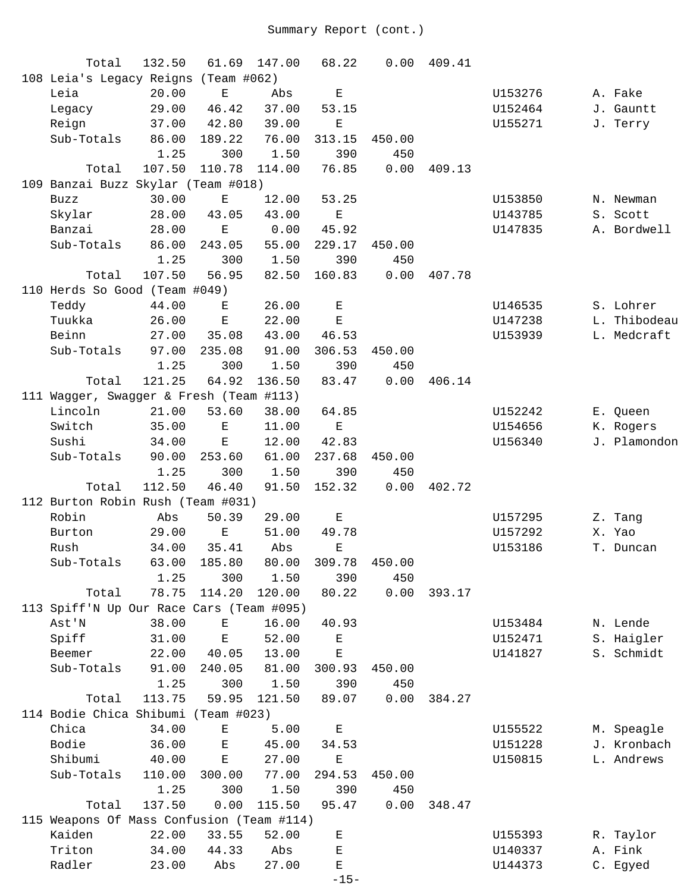| Total                                     | 132.50 | 61.69                                                                                          | 147.00 | 68.22                                                                                          | 0.00   | 409.41 |         |        |              |
|-------------------------------------------|--------|------------------------------------------------------------------------------------------------|--------|------------------------------------------------------------------------------------------------|--------|--------|---------|--------|--------------|
| 108 Leia's Legacy Reigns (Team #062)      |        |                                                                                                |        |                                                                                                |        |        |         |        |              |
| Leia                                      | 20.00  | $\mathbf E$                                                                                    | Abs    | $\mathbf E$                                                                                    |        |        | U153276 |        | A. Fake      |
| Legacy                                    | 29.00  | 46.42                                                                                          | 37.00  | 53.15                                                                                          |        |        | U152464 |        | J. Gauntt    |
| Reign                                     | 37.00  | 42.80                                                                                          | 39.00  | Ε                                                                                              |        |        | U155271 |        | J. Terry     |
| Sub-Totals                                | 86.00  | 189.22                                                                                         | 76.00  | 313.15                                                                                         | 450.00 |        |         |        |              |
|                                           | 1.25   | 300                                                                                            | 1.50   | 390                                                                                            | 450    |        |         |        |              |
| Total                                     | 107.50 | 110.78                                                                                         | 114.00 | 76.85                                                                                          | 0.00   | 409.13 |         |        |              |
| 109 Banzai Buzz Skylar (Team #018)        |        |                                                                                                |        |                                                                                                |        |        |         |        |              |
| <b>Buzz</b>                               | 30.00  | Е                                                                                              | 12.00  | 53.25                                                                                          |        |        | U153850 |        | N. Newman    |
| Skylar                                    | 28.00  | 43.05                                                                                          | 43.00  | $\mathbf E$                                                                                    |        |        | U143785 |        | S. Scott     |
| Banzai                                    | 28.00  | E                                                                                              | 0.00   | 45.92                                                                                          |        |        | U147835 |        | A. Bordwell  |
| Sub-Totals                                | 86.00  | 243.05                                                                                         | 55.00  | 229.17                                                                                         | 450.00 |        |         |        |              |
|                                           | 1.25   | 300                                                                                            | 1.50   | 390                                                                                            | 450    |        |         |        |              |
| Total                                     | 107.50 | 56.95                                                                                          | 82.50  | 160.83                                                                                         | 0.00   | 407.78 |         |        |              |
| 110 Herds So Good (Team #049)             |        |                                                                                                |        |                                                                                                |        |        |         |        |              |
| Teddy                                     | 44.00  | Е                                                                                              | 26.00  | $\mathbf E$                                                                                    |        |        | U146535 |        | S. Lohrer    |
| Tuukka                                    | 26.00  | $\mathbf E$                                                                                    | 22.00  | $\mathbf E$                                                                                    |        |        | U147238 |        | L. Thibodeau |
| Beinn                                     | 27.00  | 35.08                                                                                          | 43.00  | 46.53                                                                                          |        |        | U153939 |        | L. Medcraft  |
| Sub-Totals                                | 97.00  | 235.08                                                                                         | 91.00  | 306.53                                                                                         | 450.00 |        |         |        |              |
|                                           | 1.25   | 300                                                                                            | 1.50   | 390                                                                                            | 450    |        |         |        |              |
| Total                                     | 121.25 | 64.92                                                                                          | 136.50 | 83.47                                                                                          | 0.00   | 406.14 |         |        |              |
| 111 Wagger, Swagger & Fresh (Team #113)   |        |                                                                                                |        |                                                                                                |        |        |         |        |              |
| Lincoln                                   | 21.00  | 53.60                                                                                          | 38.00  | 64.85                                                                                          |        |        | U152242 |        | E. Queen     |
| Switch                                    | 35.00  | $\mathbf E$                                                                                    | 11.00  | $\mathbf E$                                                                                    |        |        | U154656 |        | K. Rogers    |
| Sushi                                     | 34.00  | E                                                                                              | 12.00  | 42.83                                                                                          |        |        | U156340 |        | J. Plamondon |
| Sub-Totals                                | 90.00  | 253.60                                                                                         | 61.00  | 237.68                                                                                         | 450.00 |        |         |        |              |
|                                           | 1.25   | 300                                                                                            | 1.50   | 390                                                                                            | 450    |        |         |        |              |
| Total                                     | 112.50 | 46.40                                                                                          | 91.50  | 152.32                                                                                         | 0.00   | 402.72 |         |        |              |
| 112 Burton Robin Rush (Team #031)         |        |                                                                                                |        |                                                                                                |        |        |         |        |              |
| Robin                                     | Abs    | 50.39                                                                                          | 29.00  | $\mathbf E$                                                                                    |        |        | U157295 |        | Z. Tang      |
| Burton                                    | 29.00  | $\mathbf E$                                                                                    | 51.00  | 49.78                                                                                          |        |        | U157292 | X. Yao |              |
| Rush                                      | 34.00  | 35.41                                                                                          | Abs    | Ε                                                                                              |        |        | U153186 |        | T. Duncan    |
| Sub-Totals                                | 63.00  | 185.80                                                                                         | 80.00  | 309.78                                                                                         | 450.00 |        |         |        |              |
|                                           | 1.25   | 300                                                                                            | 1.50   | 390                                                                                            | 450    |        |         |        |              |
| Total                                     | 78.75  | 114.20                                                                                         | 120.00 | 80.22                                                                                          | 0.00   | 393.17 |         |        |              |
| 113 Spiff'N Up Our Race Cars (Team #095)  |        |                                                                                                |        |                                                                                                |        |        |         |        |              |
| Ast'N                                     | 38.00  | $\mathbf{E}% _{t}\left  \mathbf{1}\right\rangle =\mathbf{1}_{t}\left  \mathbf{1}\right\rangle$ | 16.00  | 40.93                                                                                          |        |        | U153484 |        | N. Lende     |
| Spiff                                     | 31.00  | $\mathbf E$                                                                                    | 52.00  | $\mathbf{E}% _{t}\left  \mathbf{1}\right\rangle =\mathbf{1}_{t}\left  \mathbf{1}\right\rangle$ |        |        | U152471 |        | S. Haigler   |
| Beemer                                    | 22.00  | 40.05                                                                                          | 13.00  | $\mathbf E$                                                                                    |        |        | U141827 |        | S. Schmidt   |
| Sub-Totals                                | 91.00  | 240.05                                                                                         | 81.00  | 300.93                                                                                         | 450.00 |        |         |        |              |
|                                           | 1.25   | 300                                                                                            | 1.50   | 390                                                                                            | 450    |        |         |        |              |
| Total                                     | 113.75 | 59.95                                                                                          | 121.50 | 89.07                                                                                          | 0.00   | 384.27 |         |        |              |
| 114 Bodie Chica Shibumi (Team #023)       |        |                                                                                                |        |                                                                                                |        |        |         |        |              |
| Chica                                     | 34.00  | Ε                                                                                              | 5.00   | $\mathbf E$                                                                                    |        |        | U155522 |        | M. Speagle   |
| Bodie                                     | 36.00  | $\mathbf{E}% _{0}$                                                                             | 45.00  | 34.53                                                                                          |        |        | U151228 |        | J. Kronbach  |
| Shibumi                                   | 40.00  | $\mathbf E$                                                                                    | 27.00  | $\mathbf E$                                                                                    |        |        | U150815 |        | L. Andrews   |
| Sub-Totals                                | 110.00 | 300.00                                                                                         | 77.00  | 294.53                                                                                         | 450.00 |        |         |        |              |
|                                           | 1.25   | 300                                                                                            | 1.50   | 390                                                                                            | 450    |        |         |        |              |
| Total                                     | 137.50 | 0.00                                                                                           | 115.50 | 95.47                                                                                          | 0.00   | 348.47 |         |        |              |
| 115 Weapons Of Mass Confusion (Team #114) |        |                                                                                                |        |                                                                                                |        |        |         |        |              |
| Kaiden                                    | 22.00  | 33.55                                                                                          | 52.00  | Ε                                                                                              |        |        | U155393 |        | R. Taylor    |
| Triton                                    | 34.00  | 44.33                                                                                          | Abs    | $\mathbf E$                                                                                    |        |        | U140337 |        | A. Fink      |
| Radler                                    | 23.00  | Abs                                                                                            | 27.00  | Ε                                                                                              |        |        | U144373 |        | C. Egyed     |
|                                           |        |                                                                                                |        | $-15-$                                                                                         |        |        |         |        |              |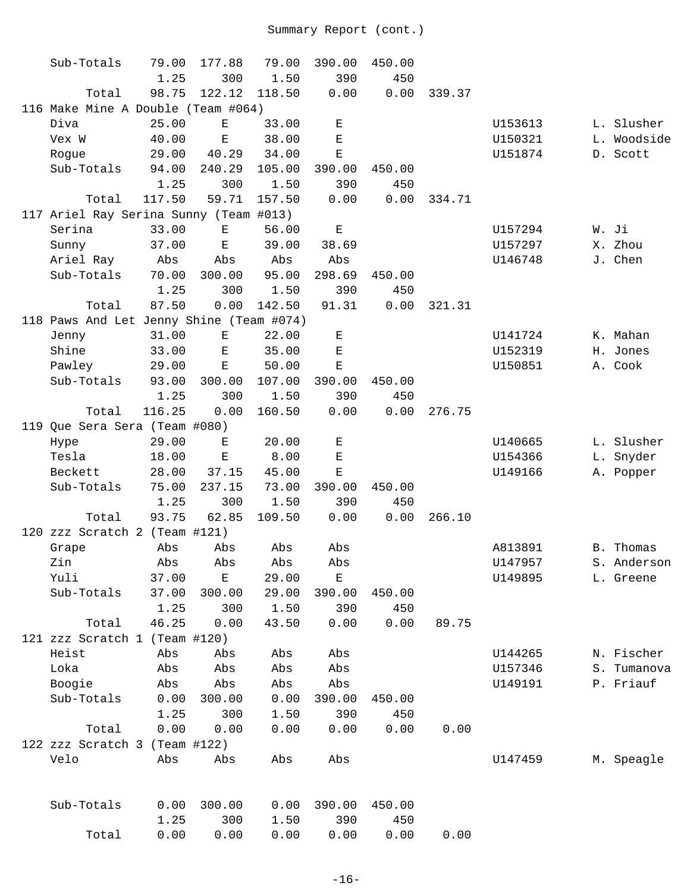| Sub-Totals                               | 79.00  | 177.88      | 79.00  | 390.00      | 450.00 |        |         |             |
|------------------------------------------|--------|-------------|--------|-------------|--------|--------|---------|-------------|
|                                          | 1.25   | 300         | 1.50   | 390         | 450    |        |         |             |
| Total                                    | 98.75  | 122.12      | 118.50 | 0.00        | 0.00   | 339.37 |         |             |
| 116 Make Mine A Double (Team #064)       |        |             |        |             |        |        |         |             |
| Diva                                     | 25.00  | $\mathbf E$ | 33.00  | $\mathbf E$ |        |        | U153613 | L. Slusher  |
| Vex W                                    | 40.00  | $\mathbf E$ | 38.00  | $\mathbf E$ |        |        | U150321 | L. Woodside |
| Rogue                                    | 29.00  | 40.29       | 34.00  | $\mathbf E$ |        |        | U151874 | D. Scott    |
| Sub-Totals                               | 94.00  | 240.29      | 105.00 | 390.00      | 450.00 |        |         |             |
|                                          | 1.25   | 300         | 1.50   | 390         | 450    |        |         |             |
| Total                                    | 117.50 | 59.71       | 157.50 | 0.00        | 0.00   | 334.71 |         |             |
| 117 Ariel Ray Serina Sunny (Team #013)   |        |             |        |             |        |        |         |             |
| Serina                                   | 33.00  | E           | 56.00  | $\mathbf E$ |        |        | U157294 | W. Ji       |
| Sunny                                    | 37.00  | $\mathbf E$ | 39.00  | 38.69       |        |        | U157297 | X. Zhou     |
| Ariel Ray                                | Abs    | Abs         | Abs    | Abs         |        |        | U146748 | J. Chen     |
| Sub-Totals                               | 70.00  | 300.00      | 95.00  | 298.69      | 450.00 |        |         |             |
|                                          | 1.25   | 300         | 1.50   | 390         | 450    |        |         |             |
| Total                                    | 87.50  | 0.00        | 142.50 | 91.31       | 0.00   | 321.31 |         |             |
| 118 Paws And Let Jenny Shine (Team #074) |        |             |        |             |        |        |         |             |
| Jenny                                    | 31.00  | Е           | 22.00  | Е           |        |        | U141724 | K. Mahan    |
| Shine                                    | 33.00  | Е           | 35.00  | $\mathbf E$ |        |        | U152319 | H. Jones    |
| Pawley                                   | 29.00  | $\mathbf E$ | 50.00  | $\mathbf E$ |        |        | U150851 | A. Cook     |
| Sub-Totals                               | 93.00  | 300.00      | 107.00 | 390.00      | 450.00 |        |         |             |
|                                          | 1.25   | 300         | 1.50   | 390         | 450    |        |         |             |
| Total                                    | 116.25 | 0.00        | 160.50 | 0.00        | 0.00   | 276.75 |         |             |
| 119 Que Sera Sera (Team #080)            |        |             |        |             |        |        |         |             |
| Hype                                     | 29.00  | Е           | 20.00  | $\mathbf E$ |        |        | U140665 | L. Slusher  |
| Tesla                                    | 18.00  | $\mathbf E$ | 8.00   | $\mathbf E$ |        |        | U154366 | L. Snyder   |
| Beckett                                  | 28.00  | 37.15       | 45.00  | Ε           |        |        | U149166 | A. Popper   |
| Sub-Totals                               | 75.00  | 237.15      | 73.00  | 390.00      | 450.00 |        |         |             |
|                                          | 1.25   | 300         | 1.50   | 390         | 450    |        |         |             |
| Total                                    | 93.75  | 62.85       | 109.50 | 0.00        | 0.00   | 266.10 |         |             |
| 120 zzz Scratch 2 (Team #121)            |        |             |        |             |        |        |         |             |
| Grape                                    | Abs    | Abs         | Abs    | Abs         |        |        | A813891 | B. Thomas   |
| Zin                                      | Abs    | Abs         | Abs    | Abs         |        |        | U147957 | S. Anderson |
| Yuli                                     | 37.00  | Е           | 29.00  | Е           |        |        | U149895 | L. Greene   |
| Sub-Totals                               | 37.00  | 300.00      | 29.00  | 390.00      | 450.00 |        |         |             |
|                                          | 1.25   | 300         | 1.50   | 390         | 450    |        |         |             |
| Total                                    | 46.25  | 0.00        | 43.50  | 0.00        | 0.00   | 89.75  |         |             |
| 121 zzz Scratch 1 (Team #120)            |        |             |        |             |        |        |         |             |
| Heist                                    | Abs    | Abs         | Abs    | Abs         |        |        | U144265 | N. Fischer  |
| Loka                                     | Abs    | Abs         | Abs    | Abs         |        |        | U157346 | S. Tumanova |
| Boogie                                   | Abs    | Abs         | Abs    | Abs         |        |        | U149191 | P. Friauf   |
| Sub-Totals                               | 0.00   | 300.00      | 0.00   | 390.00      | 450.00 |        |         |             |
|                                          | 1.25   | 300         | 1.50   | 390         | 450    |        |         |             |
| Total                                    | 0.00   | 0.00        | 0.00   | 0.00        | 0.00   | 0.00   |         |             |
| 122 zzz Scratch 3 (Team #122)            |        |             |        |             |        |        |         |             |
| Velo                                     | Abs    | Abs         | Abs    | Abs         |        |        | U147459 | M. Speagle  |
|                                          |        |             |        |             |        |        |         |             |
| Sub-Totals                               | 0.00   | 300.00      | 0.00   | 390.00      | 450.00 |        |         |             |
|                                          | 1.25   | 300         | 1.50   | 390         | 450    |        |         |             |
| Total                                    | 0.00   | 0.00        | 0.00   | 0.00        | 0.00   | 0.00   |         |             |